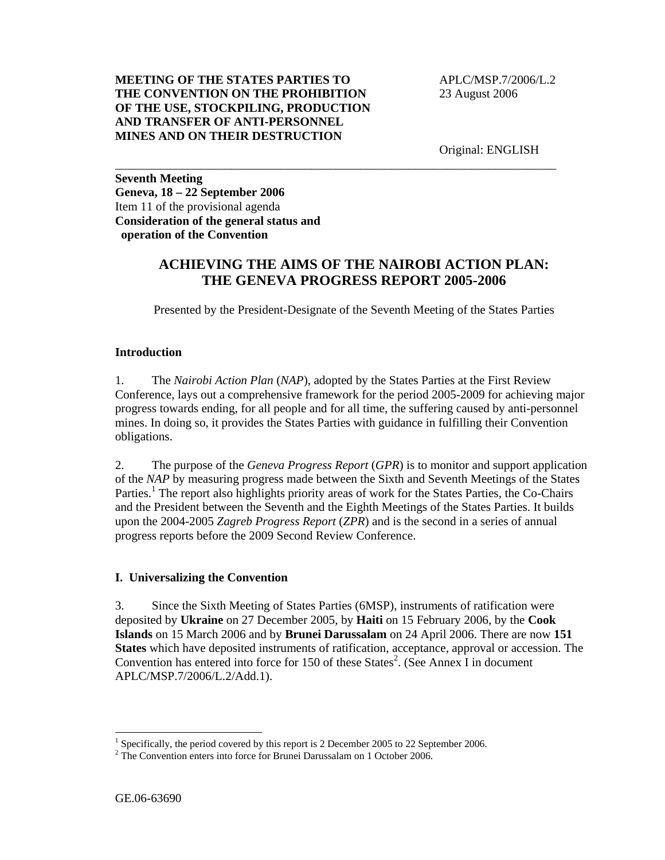Original: ENGLISH

**Seventh Meeting Geneva, 18 – 22 September 2006**  Item 11 of the provisional agenda **Consideration of the general status and operation of the Convention** 

# **ACHIEVING THE AIMS OF THE NAIROBI ACTION PLAN: THE GENEVA PROGRESS REPORT 2005-2006**

\_\_\_\_\_\_\_\_\_\_\_\_\_\_\_\_\_\_\_\_\_\_\_\_\_\_\_\_\_\_\_\_\_\_\_\_\_\_\_\_\_\_\_\_\_\_\_\_\_\_\_\_\_\_\_\_\_\_\_\_\_\_\_\_\_\_\_\_\_\_\_\_

Presented by the President-Designate of the Seventh Meeting of the States Parties

# **Introduction**

1. The *Nairobi Action Plan* (*NAP*), adopted by the States Parties at the First Review Conference, lays out a comprehensive framework for the period 2005-2009 for achieving major progress towards ending, for all people and for all time, the suffering caused by anti-personnel mines. In doing so, it provides the States Parties with guidance in fulfilling their Convention obligations.

2. The purpose of the *Geneva Progress Report* (*GPR*) is to monitor and support application of the *NAP* by measuring progress made between the Sixth and Seventh Meetings of the States Parties.<sup>1</sup> The report also highlights priority areas of work for the States Parties, the Co-Chairs and the President between the Seventh and the Eighth Meetings of the States Parties. It builds upon the 2004-2005 *Zagreb Progress Report* (*ZPR*) and is the second in a series of annual progress reports before the 2009 Second Review Conference.

# **I. Universalizing the Convention**

3. Since the Sixth Meeting of States Parties (6MSP), instruments of ratification were deposited by **Ukraine** on 27 December 2005, by **Haiti** on 15 February 2006, by the **Cook Islands** on 15 March 2006 and by **Brunei Darussalam** on 24 April 2006. There are now **151 States** which have deposited instruments of ratification, acceptance, approval or accession. The Convention has entered into force for 150 of these States<sup>2</sup>. (See Annex I in document APLC/MSP.7/2006/L.2/Add.1).

 $\overline{a}$ 

<sup>&</sup>lt;sup>1</sup> Specifically, the period covered by this report is 2 December 2005 to 22 September 2006.

<sup>&</sup>lt;sup>2</sup> The Convention enters into force for Brunei Darussalam on 1 October 2006.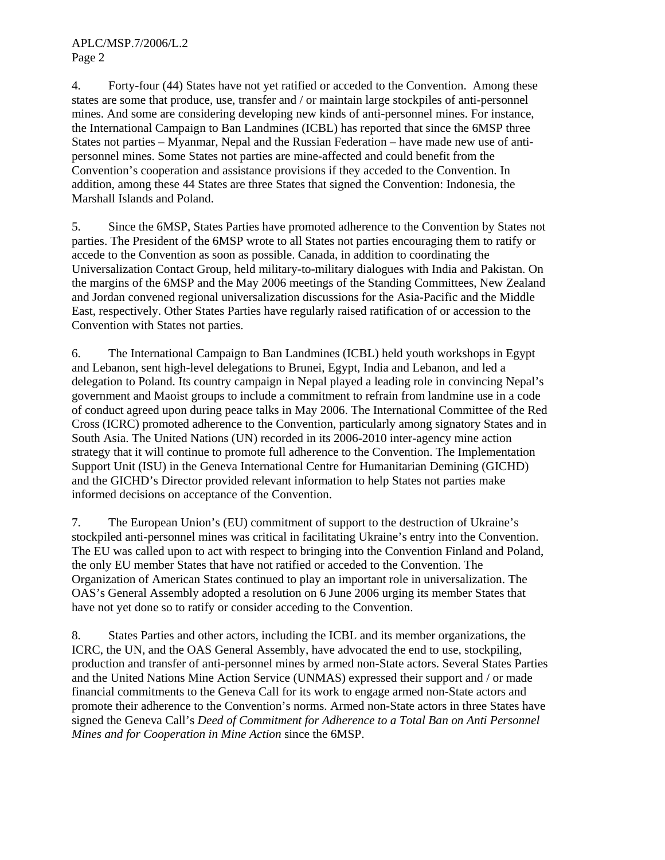4. Forty-four (44) States have not yet ratified or acceded to the Convention. Among these states are some that produce, use, transfer and / or maintain large stockpiles of anti-personnel mines. And some are considering developing new kinds of anti-personnel mines. For instance, the International Campaign to Ban Landmines (ICBL) has reported that since the 6MSP three States not parties – Myanmar, Nepal and the Russian Federation – have made new use of antipersonnel mines. Some States not parties are mine-affected and could benefit from the Convention's cooperation and assistance provisions if they acceded to the Convention. In addition, among these 44 States are three States that signed the Convention: Indonesia, the Marshall Islands and Poland.

5. Since the 6MSP, States Parties have promoted adherence to the Convention by States not parties. The President of the 6MSP wrote to all States not parties encouraging them to ratify or accede to the Convention as soon as possible. Canada, in addition to coordinating the Universalization Contact Group, held military-to-military dialogues with India and Pakistan. On the margins of the 6MSP and the May 2006 meetings of the Standing Committees, New Zealand and Jordan convened regional universalization discussions for the Asia-Pacific and the Middle East, respectively. Other States Parties have regularly raised ratification of or accession to the Convention with States not parties.

6. The International Campaign to Ban Landmines (ICBL) held youth workshops in Egypt and Lebanon, sent high-level delegations to Brunei, Egypt, India and Lebanon, and led a delegation to Poland. Its country campaign in Nepal played a leading role in convincing Nepal's government and Maoist groups to include a commitment to refrain from landmine use in a code of conduct agreed upon during peace talks in May 2006. The International Committee of the Red Cross (ICRC) promoted adherence to the Convention, particularly among signatory States and in South Asia. The United Nations (UN) recorded in its 2006-2010 inter-agency mine action strategy that it will continue to promote full adherence to the Convention. The Implementation Support Unit (ISU) in the Geneva International Centre for Humanitarian Demining (GICHD) and the GICHD's Director provided relevant information to help States not parties make informed decisions on acceptance of the Convention.

7. The European Union's (EU) commitment of support to the destruction of Ukraine's stockpiled anti-personnel mines was critical in facilitating Ukraine's entry into the Convention. The EU was called upon to act with respect to bringing into the Convention Finland and Poland, the only EU member States that have not ratified or acceded to the Convention. The Organization of American States continued to play an important role in universalization. The OAS's General Assembly adopted a resolution on 6 June 2006 urging its member States that have not yet done so to ratify or consider acceding to the Convention.

8. States Parties and other actors, including the ICBL and its member organizations, the ICRC, the UN, and the OAS General Assembly, have advocated the end to use, stockpiling, production and transfer of anti-personnel mines by armed non-State actors. Several States Parties and the United Nations Mine Action Service (UNMAS) expressed their support and / or made financial commitments to the Geneva Call for its work to engage armed non-State actors and promote their adherence to the Convention's norms. Armed non-State actors in three States have signed the Geneva Call's *Deed of Commitment for Adherence to a Total Ban on Anti Personnel Mines and for Cooperation in Mine Action* since the 6MSP.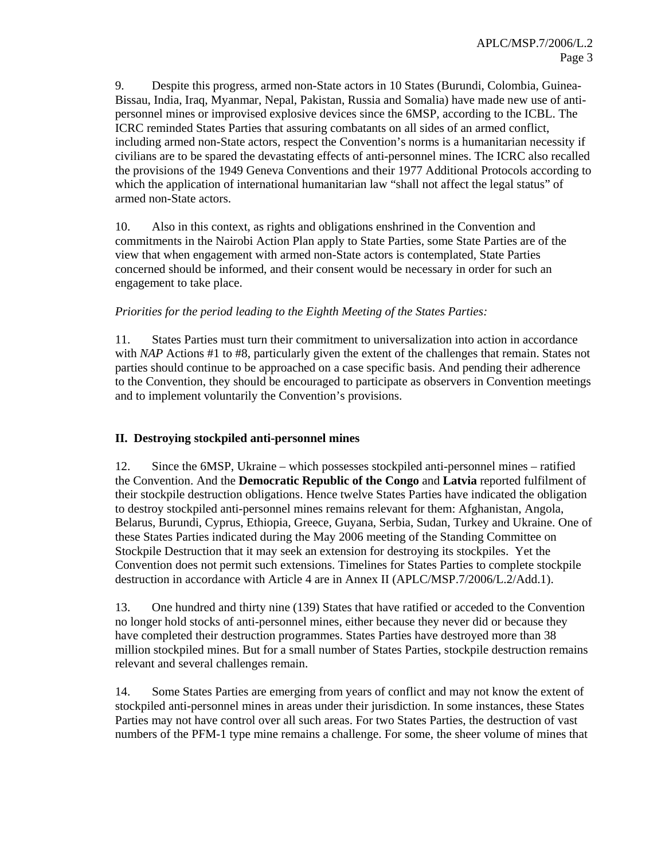9. Despite this progress, armed non-State actors in 10 States (Burundi, Colombia, Guinea-Bissau, India, Iraq, Myanmar, Nepal, Pakistan, Russia and Somalia) have made new use of antipersonnel mines or improvised explosive devices since the 6MSP, according to the ICBL. The ICRC reminded States Parties that assuring combatants on all sides of an armed conflict, including armed non-State actors, respect the Convention's norms is a humanitarian necessity if civilians are to be spared the devastating effects of anti-personnel mines. The ICRC also recalled the provisions of the 1949 Geneva Conventions and their 1977 Additional Protocols according to which the application of international humanitarian law "shall not affect the legal status" of armed non-State actors.

10. Also in this context, as rights and obligations enshrined in the Convention and commitments in the Nairobi Action Plan apply to State Parties, some State Parties are of the view that when engagement with armed non-State actors is contemplated, State Parties concerned should be informed, and their consent would be necessary in order for such an engagement to take place.

#### *Priorities for the period leading to the Eighth Meeting of the States Parties:*

11. States Parties must turn their commitment to universalization into action in accordance with *NAP* Actions #1 to #8, particularly given the extent of the challenges that remain. States not parties should continue to be approached on a case specific basis. And pending their adherence to the Convention, they should be encouraged to participate as observers in Convention meetings and to implement voluntarily the Convention's provisions.

# **II. Destroying stockpiled anti-personnel mines**

12. Since the 6MSP, Ukraine – which possesses stockpiled anti-personnel mines – ratified the Convention. And the **Democratic Republic of the Congo** and **Latvia** reported fulfilment of their stockpile destruction obligations. Hence twelve States Parties have indicated the obligation to destroy stockpiled anti-personnel mines remains relevant for them: Afghanistan, Angola, Belarus, Burundi, Cyprus, Ethiopia, Greece, Guyana, Serbia, Sudan, Turkey and Ukraine. One of these States Parties indicated during the May 2006 meeting of the Standing Committee on Stockpile Destruction that it may seek an extension for destroying its stockpiles. Yet the Convention does not permit such extensions. Timelines for States Parties to complete stockpile destruction in accordance with Article 4 are in Annex II (APLC/MSP.7/2006/L.2/Add.1).

13. One hundred and thirty nine (139) States that have ratified or acceded to the Convention no longer hold stocks of anti-personnel mines, either because they never did or because they have completed their destruction programmes. States Parties have destroyed more than 38 million stockpiled mines. But for a small number of States Parties, stockpile destruction remains relevant and several challenges remain.

14. Some States Parties are emerging from years of conflict and may not know the extent of stockpiled anti-personnel mines in areas under their jurisdiction. In some instances, these States Parties may not have control over all such areas. For two States Parties, the destruction of vast numbers of the PFM-1 type mine remains a challenge. For some, the sheer volume of mines that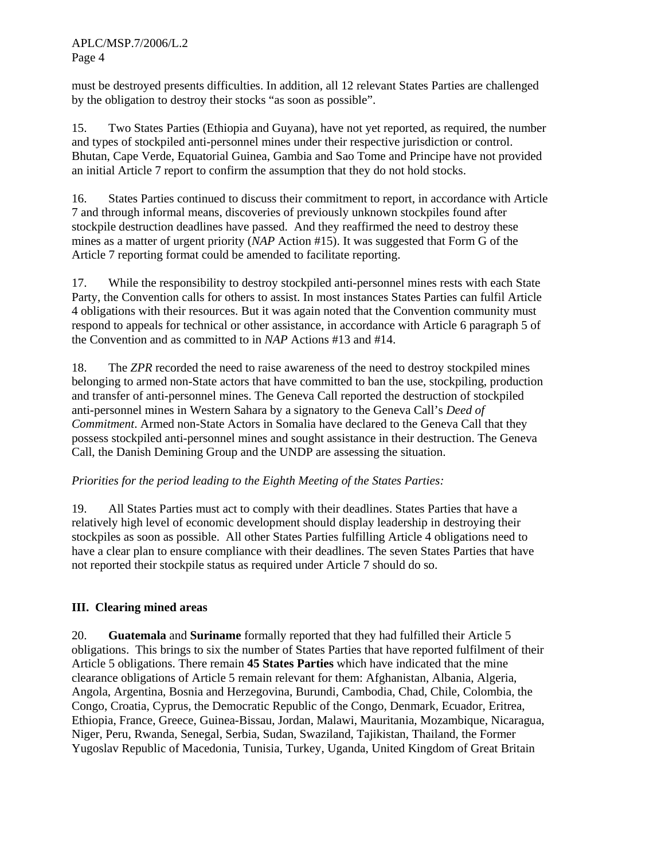must be destroyed presents difficulties. In addition, all 12 relevant States Parties are challenged by the obligation to destroy their stocks "as soon as possible".

15. Two States Parties (Ethiopia and Guyana), have not yet reported, as required, the number and types of stockpiled anti-personnel mines under their respective jurisdiction or control. Bhutan, Cape Verde, Equatorial Guinea, Gambia and Sao Tome and Principe have not provided an initial Article 7 report to confirm the assumption that they do not hold stocks.

16. States Parties continued to discuss their commitment to report, in accordance with Article 7 and through informal means, discoveries of previously unknown stockpiles found after stockpile destruction deadlines have passed. And they reaffirmed the need to destroy these mines as a matter of urgent priority (*NAP* Action #15). It was suggested that Form G of the Article 7 reporting format could be amended to facilitate reporting.

17. While the responsibility to destroy stockpiled anti-personnel mines rests with each State Party, the Convention calls for others to assist. In most instances States Parties can fulfil Article 4 obligations with their resources. But it was again noted that the Convention community must respond to appeals for technical or other assistance, in accordance with Article 6 paragraph 5 of the Convention and as committed to in *NAP* Actions #13 and #14.

18. The *ZPR* recorded the need to raise awareness of the need to destroy stockpiled mines belonging to armed non-State actors that have committed to ban the use, stockpiling, production and transfer of anti-personnel mines. The Geneva Call reported the destruction of stockpiled anti-personnel mines in Western Sahara by a signatory to the Geneva Call's *Deed of Commitment*. Armed non-State Actors in Somalia have declared to the Geneva Call that they possess stockpiled anti-personnel mines and sought assistance in their destruction. The Geneva Call, the Danish Demining Group and the UNDP are assessing the situation.

# *Priorities for the period leading to the Eighth Meeting of the States Parties:*

19. All States Parties must act to comply with their deadlines. States Parties that have a relatively high level of economic development should display leadership in destroying their stockpiles as soon as possible. All other States Parties fulfilling Article 4 obligations need to have a clear plan to ensure compliance with their deadlines. The seven States Parties that have not reported their stockpile status as required under Article 7 should do so.

# **III. Clearing mined areas**

20. **Guatemala** and **Suriname** formally reported that they had fulfilled their Article 5 obligations. This brings to six the number of States Parties that have reported fulfilment of their Article 5 obligations. There remain **45 States Parties** which have indicated that the mine clearance obligations of Article 5 remain relevant for them: Afghanistan, Albania, Algeria, Angola, Argentina, Bosnia and Herzegovina, Burundi, Cambodia, Chad, Chile, Colombia, the Congo, Croatia, Cyprus, the Democratic Republic of the Congo, Denmark, Ecuador, Eritrea, Ethiopia, France, Greece, Guinea-Bissau, Jordan, Malawi, Mauritania, Mozambique, Nicaragua, Niger, Peru, Rwanda, Senegal, Serbia, Sudan, Swaziland, Tajikistan, Thailand, the Former Yugoslav Republic of Macedonia, Tunisia, Turkey, Uganda, United Kingdom of Great Britain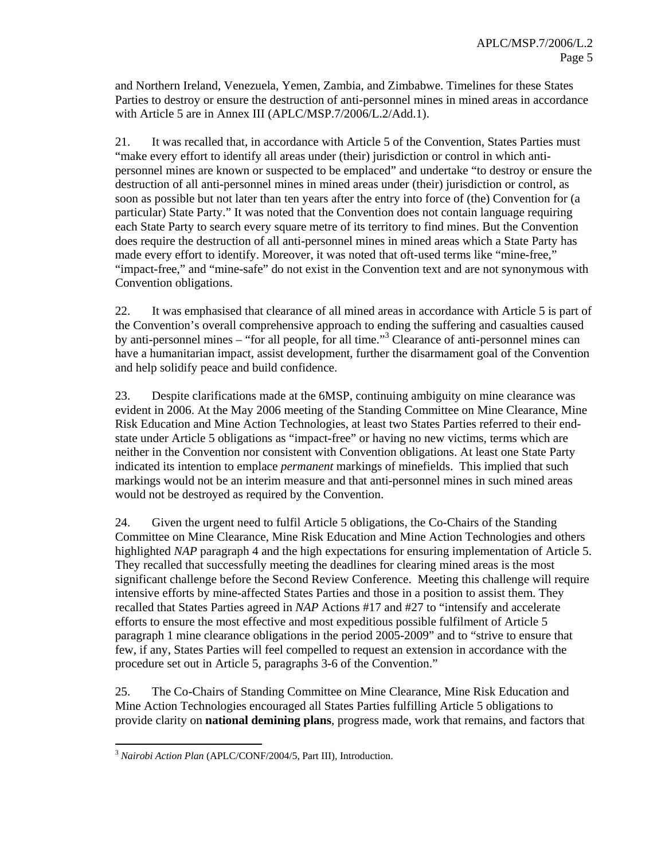and Northern Ireland, Venezuela, Yemen, Zambia, and Zimbabwe. Timelines for these States Parties to destroy or ensure the destruction of anti-personnel mines in mined areas in accordance with Article 5 are in Annex III (APLC/MSP.7/2006/L.2/Add.1).

21. It was recalled that, in accordance with Article 5 of the Convention, States Parties must "make every effort to identify all areas under (their) jurisdiction or control in which antipersonnel mines are known or suspected to be emplaced" and undertake "to destroy or ensure the destruction of all anti-personnel mines in mined areas under (their) jurisdiction or control, as soon as possible but not later than ten years after the entry into force of (the) Convention for (a particular) State Party." It was noted that the Convention does not contain language requiring each State Party to search every square metre of its territory to find mines. But the Convention does require the destruction of all anti-personnel mines in mined areas which a State Party has made every effort to identify. Moreover, it was noted that oft-used terms like "mine-free," "impact-free," and "mine-safe" do not exist in the Convention text and are not synonymous with Convention obligations.

22. It was emphasised that clearance of all mined areas in accordance with Article 5 is part of the Convention's overall comprehensive approach to ending the suffering and casualties caused by anti-personnel mines – "for all people, for all time."<sup>3</sup> Clearance of anti-personnel mines can have a humanitarian impact, assist development, further the disarmament goal of the Convention and help solidify peace and build confidence.

23. Despite clarifications made at the 6MSP, continuing ambiguity on mine clearance was evident in 2006. At the May 2006 meeting of the Standing Committee on Mine Clearance, Mine Risk Education and Mine Action Technologies, at least two States Parties referred to their endstate under Article 5 obligations as "impact-free" or having no new victims, terms which are neither in the Convention nor consistent with Convention obligations. At least one State Party indicated its intention to emplace *permanent* markings of minefields. This implied that such markings would not be an interim measure and that anti-personnel mines in such mined areas would not be destroyed as required by the Convention.

24. Given the urgent need to fulfil Article 5 obligations, the Co-Chairs of the Standing Committee on Mine Clearance, Mine Risk Education and Mine Action Technologies and others highlighted *NAP* paragraph 4 and the high expectations for ensuring implementation of Article 5. They recalled that successfully meeting the deadlines for clearing mined areas is the most significant challenge before the Second Review Conference. Meeting this challenge will require intensive efforts by mine-affected States Parties and those in a position to assist them. They recalled that States Parties agreed in *NAP* Actions #17 and #27 to "intensify and accelerate efforts to ensure the most effective and most expeditious possible fulfilment of Article 5 paragraph 1 mine clearance obligations in the period 2005-2009" and to "strive to ensure that few, if any, States Parties will feel compelled to request an extension in accordance with the procedure set out in Article 5, paragraphs 3-6 of the Convention."

25. The Co-Chairs of Standing Committee on Mine Clearance, Mine Risk Education and Mine Action Technologies encouraged all States Parties fulfilling Article 5 obligations to provide clarity on **national demining plans**, progress made, work that remains, and factors that

 $\overline{a}$ <sup>3</sup> *Nairobi Action Plan* (APLC/CONF/2004/5, Part III), Introduction.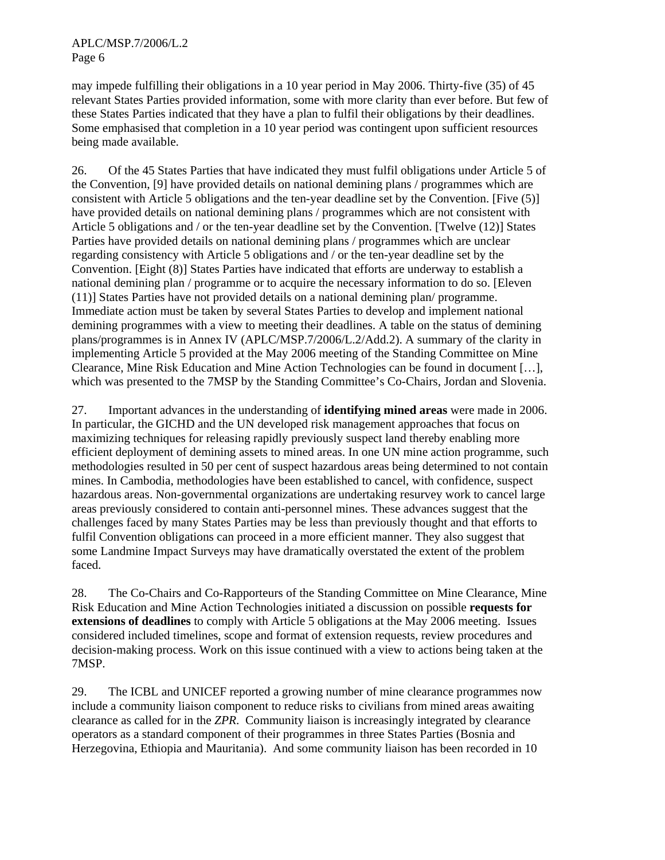may impede fulfilling their obligations in a 10 year period in May 2006. Thirty-five (35) of 45 relevant States Parties provided information, some with more clarity than ever before. But few of these States Parties indicated that they have a plan to fulfil their obligations by their deadlines. Some emphasised that completion in a 10 year period was contingent upon sufficient resources being made available.

26. Of the 45 States Parties that have indicated they must fulfil obligations under Article 5 of the Convention, [9] have provided details on national demining plans / programmes which are consistent with Article 5 obligations and the ten-year deadline set by the Convention. [Five (5)] have provided details on national demining plans / programmes which are not consistent with Article 5 obligations and / or the ten-year deadline set by the Convention. [Twelve (12)] States Parties have provided details on national demining plans / programmes which are unclear regarding consistency with Article 5 obligations and / or the ten-year deadline set by the Convention. [Eight (8)] States Parties have indicated that efforts are underway to establish a national demining plan / programme or to acquire the necessary information to do so. [Eleven (11)] States Parties have not provided details on a national demining plan/ programme. Immediate action must be taken by several States Parties to develop and implement national demining programmes with a view to meeting their deadlines. A table on the status of demining plans/programmes is in Annex IV (APLC/MSP.7/2006/L.2/Add.2). A summary of the clarity in implementing Article 5 provided at the May 2006 meeting of the Standing Committee on Mine Clearance, Mine Risk Education and Mine Action Technologies can be found in document […], which was presented to the 7MSP by the Standing Committee's Co-Chairs, Jordan and Slovenia.

27. Important advances in the understanding of **identifying mined areas** were made in 2006. In particular, the GICHD and the UN developed risk management approaches that focus on maximizing techniques for releasing rapidly previously suspect land thereby enabling more efficient deployment of demining assets to mined areas. In one UN mine action programme, such methodologies resulted in 50 per cent of suspect hazardous areas being determined to not contain mines. In Cambodia, methodologies have been established to cancel, with confidence, suspect hazardous areas. Non-governmental organizations are undertaking resurvey work to cancel large areas previously considered to contain anti-personnel mines. These advances suggest that the challenges faced by many States Parties may be less than previously thought and that efforts to fulfil Convention obligations can proceed in a more efficient manner. They also suggest that some Landmine Impact Surveys may have dramatically overstated the extent of the problem faced.

28. The Co-Chairs and Co-Rapporteurs of the Standing Committee on Mine Clearance, Mine Risk Education and Mine Action Technologies initiated a discussion on possible **requests for extensions of deadlines** to comply with Article 5 obligations at the May 2006 meeting. Issues considered included timelines, scope and format of extension requests, review procedures and decision-making process. Work on this issue continued with a view to actions being taken at the 7MSP.

29. The ICBL and UNICEF reported a growing number of mine clearance programmes now include a community liaison component to reduce risks to civilians from mined areas awaiting clearance as called for in the *ZPR*. Community liaison is increasingly integrated by clearance operators as a standard component of their programmes in three States Parties (Bosnia and Herzegovina, Ethiopia and Mauritania). And some community liaison has been recorded in 10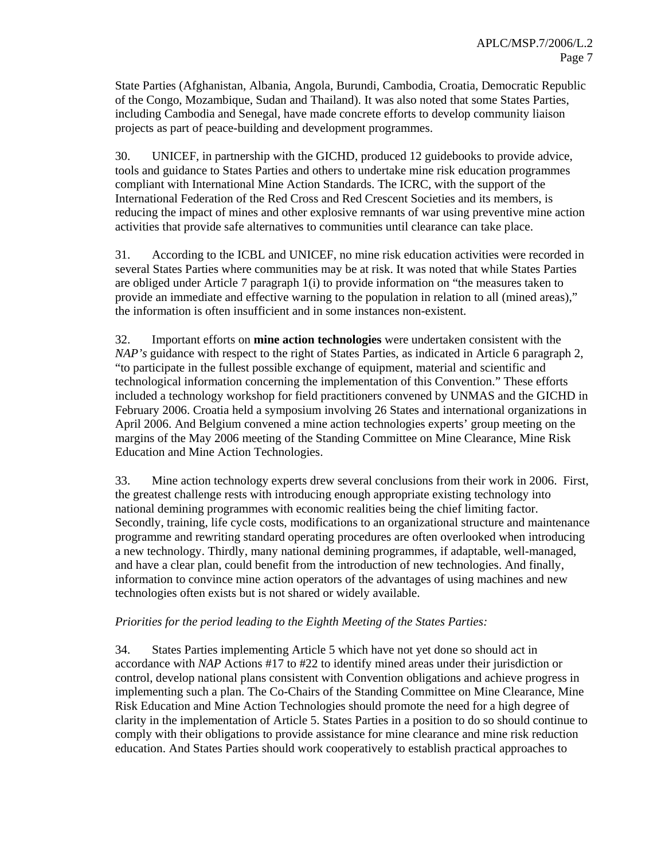State Parties (Afghanistan, Albania, Angola, Burundi, Cambodia, Croatia, Democratic Republic of the Congo, Mozambique, Sudan and Thailand). It was also noted that some States Parties, including Cambodia and Senegal, have made concrete efforts to develop community liaison projects as part of peace-building and development programmes.

30. UNICEF, in partnership with the GICHD, produced 12 guidebooks to provide advice, tools and guidance to States Parties and others to undertake mine risk education programmes compliant with International Mine Action Standards. The ICRC, with the support of the International Federation of the Red Cross and Red Crescent Societies and its members, is reducing the impact of mines and other explosive remnants of war using preventive mine action activities that provide safe alternatives to communities until clearance can take place.

31. According to the ICBL and UNICEF, no mine risk education activities were recorded in several States Parties where communities may be at risk. It was noted that while States Parties are obliged under Article 7 paragraph 1(i) to provide information on "the measures taken to provide an immediate and effective warning to the population in relation to all (mined areas)," the information is often insufficient and in some instances non-existent.

32. Important efforts on **mine action technologies** were undertaken consistent with the *NAP's* guidance with respect to the right of States Parties, as indicated in Article 6 paragraph 2, "to participate in the fullest possible exchange of equipment, material and scientific and technological information concerning the implementation of this Convention." These efforts included a technology workshop for field practitioners convened by UNMAS and the GICHD in February 2006. Croatia held a symposium involving 26 States and international organizations in April 2006. And Belgium convened a mine action technologies experts' group meeting on the margins of the May 2006 meeting of the Standing Committee on Mine Clearance, Mine Risk Education and Mine Action Technologies.

33. Mine action technology experts drew several conclusions from their work in 2006. First, the greatest challenge rests with introducing enough appropriate existing technology into national demining programmes with economic realities being the chief limiting factor. Secondly, training, life cycle costs, modifications to an organizational structure and maintenance programme and rewriting standard operating procedures are often overlooked when introducing a new technology. Thirdly, many national demining programmes, if adaptable, well-managed, and have a clear plan, could benefit from the introduction of new technologies. And finally, information to convince mine action operators of the advantages of using machines and new technologies often exists but is not shared or widely available.

# *Priorities for the period leading to the Eighth Meeting of the States Parties:*

34. States Parties implementing Article 5 which have not yet done so should act in accordance with *NAP* Actions #17 to #22 to identify mined areas under their jurisdiction or control, develop national plans consistent with Convention obligations and achieve progress in implementing such a plan. The Co-Chairs of the Standing Committee on Mine Clearance, Mine Risk Education and Mine Action Technologies should promote the need for a high degree of clarity in the implementation of Article 5. States Parties in a position to do so should continue to comply with their obligations to provide assistance for mine clearance and mine risk reduction education. And States Parties should work cooperatively to establish practical approaches to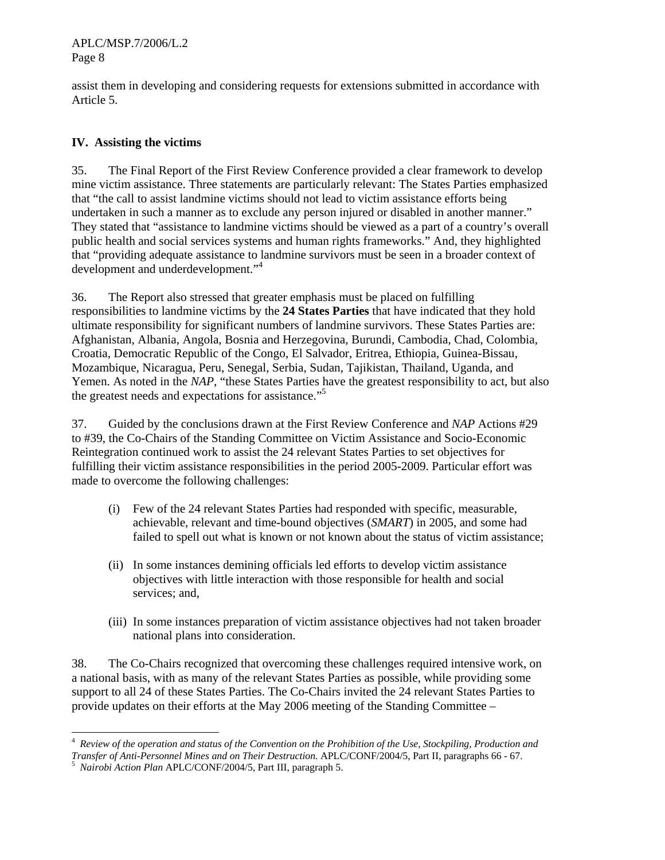APLC/MSP.7/2006/L.2 Page 8

assist them in developing and considering requests for extensions submitted in accordance with Article 5.

## **IV. Assisting the victims**

35. The Final Report of the First Review Conference provided a clear framework to develop mine victim assistance. Three statements are particularly relevant: The States Parties emphasized that "the call to assist landmine victims should not lead to victim assistance efforts being undertaken in such a manner as to exclude any person injured or disabled in another manner." They stated that "assistance to landmine victims should be viewed as a part of a country's overall public health and social services systems and human rights frameworks." And, they highlighted that "providing adequate assistance to landmine survivors must be seen in a broader context of development and underdevelopment."4

36. The Report also stressed that greater emphasis must be placed on fulfilling responsibilities to landmine victims by the **24 States Parties** that have indicated that they hold ultimate responsibility for significant numbers of landmine survivors. These States Parties are: Afghanistan, Albania, Angola, Bosnia and Herzegovina, Burundi, Cambodia, Chad, Colombia, Croatia, Democratic Republic of the Congo, El Salvador, Eritrea, Ethiopia, Guinea-Bissau, Mozambique, Nicaragua, Peru, Senegal, Serbia, Sudan, Tajikistan, Thailand, Uganda, and Yemen. As noted in the *NAP*, "these States Parties have the greatest responsibility to act, but also the greatest needs and expectations for assistance."5

37. Guided by the conclusions drawn at the First Review Conference and *NAP* Actions #29 to #39, the Co-Chairs of the Standing Committee on Victim Assistance and Socio-Economic Reintegration continued work to assist the 24 relevant States Parties to set objectives for fulfilling their victim assistance responsibilities in the period 2005-2009. Particular effort was made to overcome the following challenges:

- (i) Few of the 24 relevant States Parties had responded with specific, measurable, achievable, relevant and time-bound objectives (*SMART*) in 2005, and some had failed to spell out what is known or not known about the status of victim assistance;
- (ii) In some instances demining officials led efforts to develop victim assistance objectives with little interaction with those responsible for health and social services; and,
- (iii) In some instances preparation of victim assistance objectives had not taken broader national plans into consideration.

38. The Co-Chairs recognized that overcoming these challenges required intensive work, on a national basis, with as many of the relevant States Parties as possible, while providing some support to all 24 of these States Parties. The Co-Chairs invited the 24 relevant States Parties to provide updates on their efforts at the May 2006 meeting of the Standing Committee –

 $\overline{a}$ 

<sup>4</sup> *Review of the operation and status of the Convention on the Prohibition of the Use, Stockpiling, Production and Transfer of Anti-Personnel Mines and on Their Destruction.* APLC/CONF/2004/5, Part II, paragraphs 66 - 67.

*Nairobi Action Plan* APLC/CONF/2004/5, Part III, paragraph 5.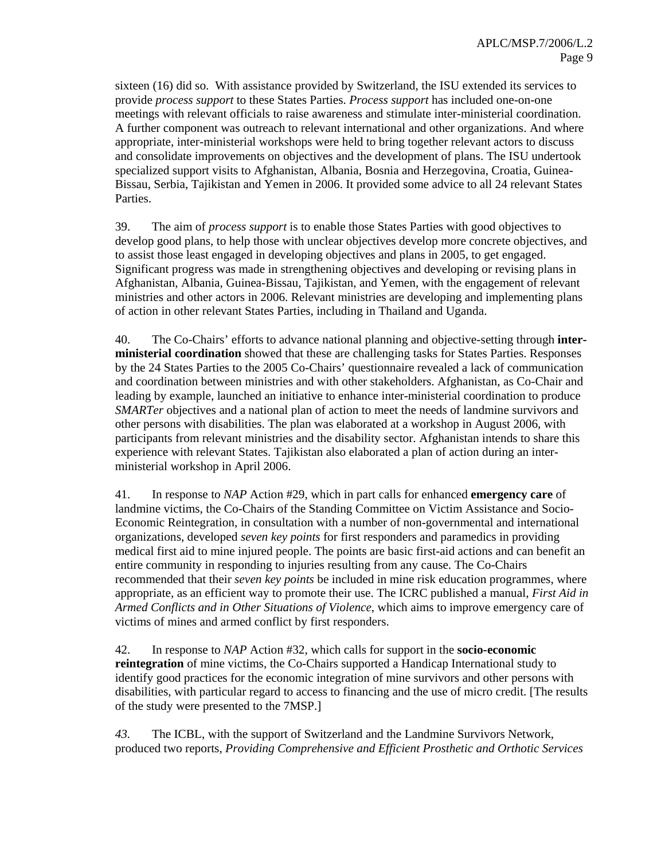sixteen (16) did so. With assistance provided by Switzerland, the ISU extended its services to provide *process support* to these States Parties. *Process support* has included one-on-one meetings with relevant officials to raise awareness and stimulate inter-ministerial coordination. A further component was outreach to relevant international and other organizations. And where appropriate, inter-ministerial workshops were held to bring together relevant actors to discuss and consolidate improvements on objectives and the development of plans. The ISU undertook specialized support visits to Afghanistan, Albania, Bosnia and Herzegovina, Croatia, Guinea-Bissau, Serbia, Tajikistan and Yemen in 2006. It provided some advice to all 24 relevant States Parties.

39. The aim of *process support* is to enable those States Parties with good objectives to develop good plans, to help those with unclear objectives develop more concrete objectives, and to assist those least engaged in developing objectives and plans in 2005, to get engaged. Significant progress was made in strengthening objectives and developing or revising plans in Afghanistan, Albania, Guinea-Bissau, Tajikistan, and Yemen, with the engagement of relevant ministries and other actors in 2006. Relevant ministries are developing and implementing plans of action in other relevant States Parties, including in Thailand and Uganda.

40. The Co-Chairs' efforts to advance national planning and objective-setting through **interministerial coordination** showed that these are challenging tasks for States Parties. Responses by the 24 States Parties to the 2005 Co-Chairs' questionnaire revealed a lack of communication and coordination between ministries and with other stakeholders. Afghanistan, as Co-Chair and leading by example, launched an initiative to enhance inter-ministerial coordination to produce *SMARTer* objectives and a national plan of action to meet the needs of landmine survivors and other persons with disabilities. The plan was elaborated at a workshop in August 2006, with participants from relevant ministries and the disability sector. Afghanistan intends to share this experience with relevant States. Tajikistan also elaborated a plan of action during an interministerial workshop in April 2006.

41. In response to *NAP* Action #29, which in part calls for enhanced **emergency care** of landmine victims, the Co-Chairs of the Standing Committee on Victim Assistance and Socio-Economic Reintegration, in consultation with a number of non-governmental and international organizations, developed *seven key points* for first responders and paramedics in providing medical first aid to mine injured people. The points are basic first-aid actions and can benefit an entire community in responding to injuries resulting from any cause. The Co-Chairs recommended that their *seven key points* be included in mine risk education programmes, where appropriate, as an efficient way to promote their use. The ICRC published a manual, *First Aid in Armed Conflicts and in Other Situations of Violence*, which aims to improve emergency care of victims of mines and armed conflict by first responders.

42. In response to *NAP* Action #32, which calls for support in the **socio-economic reintegration** of mine victims, the Co-Chairs supported a Handicap International study to identify good practices for the economic integration of mine survivors and other persons with disabilities, with particular regard to access to financing and the use of micro credit. [The results of the study were presented to the 7MSP.]

*43.* The ICBL, with the support of Switzerland and the Landmine Survivors Network, produced two reports, *Providing Comprehensive and Efficient Prosthetic and Orthotic Services*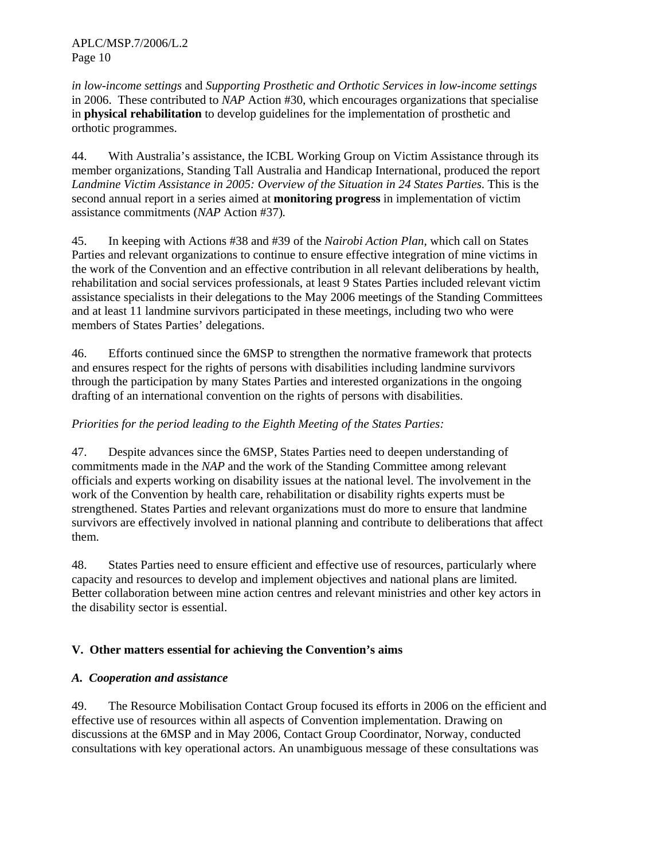APLC/MSP.7/2006/L.2 Page 10

*in low-income settings* and *Supporting Prosthetic and Orthotic Services in low-income settings*  in 2006. These contributed to *NAP* Action #30, which encourages organizations that specialise in **physical rehabilitation** to develop guidelines for the implementation of prosthetic and orthotic programmes.

44. With Australia's assistance, the ICBL Working Group on Victim Assistance through its member organizations, Standing Tall Australia and Handicap International, produced the report *Landmine Victim Assistance in 2005: Overview of the Situation in 24 States Parties*. This is the second annual report in a series aimed at **monitoring progress** in implementation of victim assistance commitments (*NAP* Action #37)*.*

45. In keeping with Actions #38 and #39 of the *Nairobi Action Plan,* which call on States Parties and relevant organizations to continue to ensure effective integration of mine victims in the work of the Convention and an effective contribution in all relevant deliberations by health, rehabilitation and social services professionals, at least 9 States Parties included relevant victim assistance specialists in their delegations to the May 2006 meetings of the Standing Committees and at least 11 landmine survivors participated in these meetings, including two who were members of States Parties' delegations.

46. Efforts continued since the 6MSP to strengthen the normative framework that protects and ensures respect for the rights of persons with disabilities including landmine survivors through the participation by many States Parties and interested organizations in the ongoing drafting of an international convention on the rights of persons with disabilities.

# *Priorities for the period leading to the Eighth Meeting of the States Parties:*

47. Despite advances since the 6MSP, States Parties need to deepen understanding of commitments made in the *NAP* and the work of the Standing Committee among relevant officials and experts working on disability issues at the national level. The involvement in the work of the Convention by health care, rehabilitation or disability rights experts must be strengthened. States Parties and relevant organizations must do more to ensure that landmine survivors are effectively involved in national planning and contribute to deliberations that affect them.

48. States Parties need to ensure efficient and effective use of resources, particularly where capacity and resources to develop and implement objectives and national plans are limited. Better collaboration between mine action centres and relevant ministries and other key actors in the disability sector is essential.

# **V. Other matters essential for achieving the Convention's aims**

# *A. Cooperation and assistance*

49. The Resource Mobilisation Contact Group focused its efforts in 2006 on the efficient and effective use of resources within all aspects of Convention implementation. Drawing on discussions at the 6MSP and in May 2006, Contact Group Coordinator, Norway, conducted consultations with key operational actors. An unambiguous message of these consultations was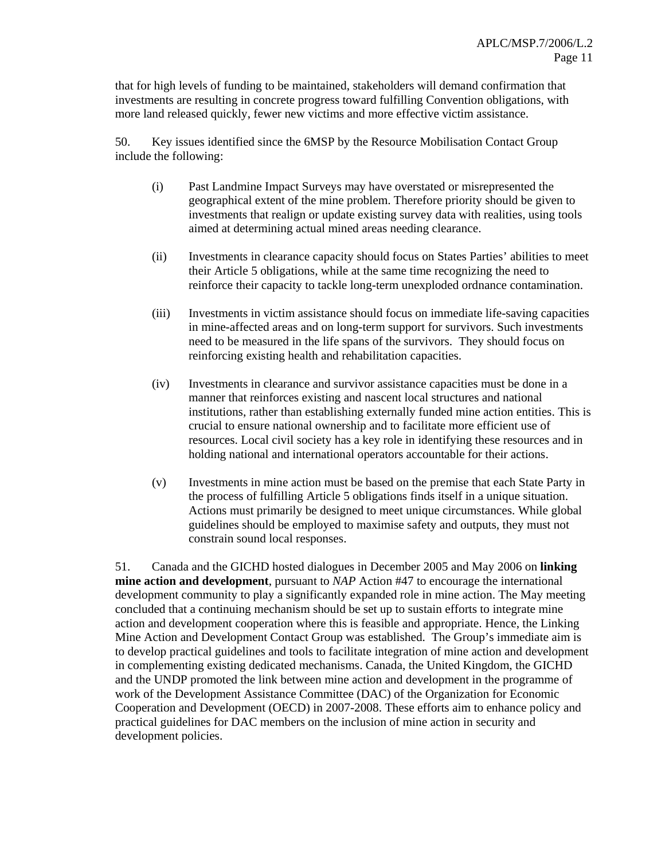that for high levels of funding to be maintained, stakeholders will demand confirmation that investments are resulting in concrete progress toward fulfilling Convention obligations, with more land released quickly, fewer new victims and more effective victim assistance.

50. Key issues identified since the 6MSP by the Resource Mobilisation Contact Group include the following:

- (i) Past Landmine Impact Surveys may have overstated or misrepresented the geographical extent of the mine problem. Therefore priority should be given to investments that realign or update existing survey data with realities, using tools aimed at determining actual mined areas needing clearance.
- (ii) Investments in clearance capacity should focus on States Parties' abilities to meet their Article 5 obligations, while at the same time recognizing the need to reinforce their capacity to tackle long-term unexploded ordnance contamination.
- (iii) Investments in victim assistance should focus on immediate life-saving capacities in mine-affected areas and on long-term support for survivors. Such investments need to be measured in the life spans of the survivors. They should focus on reinforcing existing health and rehabilitation capacities.
- (iv) Investments in clearance and survivor assistance capacities must be done in a manner that reinforces existing and nascent local structures and national institutions, rather than establishing externally funded mine action entities. This is crucial to ensure national ownership and to facilitate more efficient use of resources. Local civil society has a key role in identifying these resources and in holding national and international operators accountable for their actions.
- (v) Investments in mine action must be based on the premise that each State Party in the process of fulfilling Article 5 obligations finds itself in a unique situation. Actions must primarily be designed to meet unique circumstances. While global guidelines should be employed to maximise safety and outputs, they must not constrain sound local responses.

51. Canada and the GICHD hosted dialogues in December 2005 and May 2006 on **linking mine action and development**, pursuant to *NAP* Action #47 to encourage the international development community to play a significantly expanded role in mine action. The May meeting concluded that a continuing mechanism should be set up to sustain efforts to integrate mine action and development cooperation where this is feasible and appropriate. Hence, the Linking Mine Action and Development Contact Group was established. The Group's immediate aim is to develop practical guidelines and tools to facilitate integration of mine action and development in complementing existing dedicated mechanisms. Canada, the United Kingdom, the GICHD and the UNDP promoted the link between mine action and development in the programme of work of the Development Assistance Committee (DAC) of the Organization for Economic Cooperation and Development (OECD) in 2007-2008. These efforts aim to enhance policy and practical guidelines for DAC members on the inclusion of mine action in security and development policies.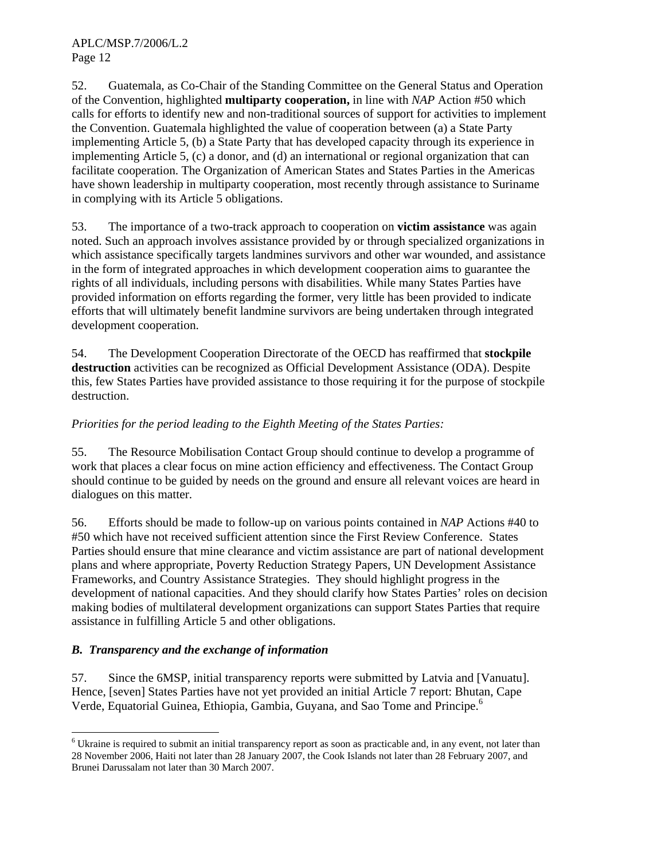APLC/MSP.7/2006/L.2 Page 12

52. Guatemala, as Co-Chair of the Standing Committee on the General Status and Operation of the Convention, highlighted **multiparty cooperation,** in line with *NAP* Action #50 which calls for efforts to identify new and non-traditional sources of support for activities to implement the Convention. Guatemala highlighted the value of cooperation between (a) a State Party implementing Article 5, (b) a State Party that has developed capacity through its experience in implementing Article 5, (c) a donor, and (d) an international or regional organization that can facilitate cooperation. The Organization of American States and States Parties in the Americas have shown leadership in multiparty cooperation, most recently through assistance to Suriname in complying with its Article 5 obligations.

53. The importance of a two-track approach to cooperation on **victim assistance** was again noted. Such an approach involves assistance provided by or through specialized organizations in which assistance specifically targets landmines survivors and other war wounded, and assistance in the form of integrated approaches in which development cooperation aims to guarantee the rights of all individuals, including persons with disabilities. While many States Parties have provided information on efforts regarding the former, very little has been provided to indicate efforts that will ultimately benefit landmine survivors are being undertaken through integrated development cooperation.

54. The Development Cooperation Directorate of the OECD has reaffirmed that **stockpile destruction** activities can be recognized as Official Development Assistance (ODA). Despite this, few States Parties have provided assistance to those requiring it for the purpose of stockpile destruction.

# *Priorities for the period leading to the Eighth Meeting of the States Parties:*

55. The Resource Mobilisation Contact Group should continue to develop a programme of work that places a clear focus on mine action efficiency and effectiveness. The Contact Group should continue to be guided by needs on the ground and ensure all relevant voices are heard in dialogues on this matter.

56. Efforts should be made to follow-up on various points contained in *NAP* Actions #40 to #50 which have not received sufficient attention since the First Review Conference. States Parties should ensure that mine clearance and victim assistance are part of national development plans and where appropriate, Poverty Reduction Strategy Papers, UN Development Assistance Frameworks, and Country Assistance Strategies. They should highlight progress in the development of national capacities. And they should clarify how States Parties' roles on decision making bodies of multilateral development organizations can support States Parties that require assistance in fulfilling Article 5 and other obligations.

# *B. Transparency and the exchange of information*

 $\overline{a}$ 

57. Since the 6MSP, initial transparency reports were submitted by Latvia and [Vanuatu]. Hence, [seven] States Parties have not yet provided an initial Article 7 report: Bhutan, Cape Verde, Equatorial Guinea, Ethiopia, Gambia, Guyana, and Sao Tome and Principe.<sup>6</sup>

 $6$  Ukraine is required to submit an initial transparency report as soon as practicable and, in any event, not later than 28 November 2006, Haiti not later than 28 January 2007, the Cook Islands not later than 28 February 2007, and Brunei Darussalam not later than 30 March 2007.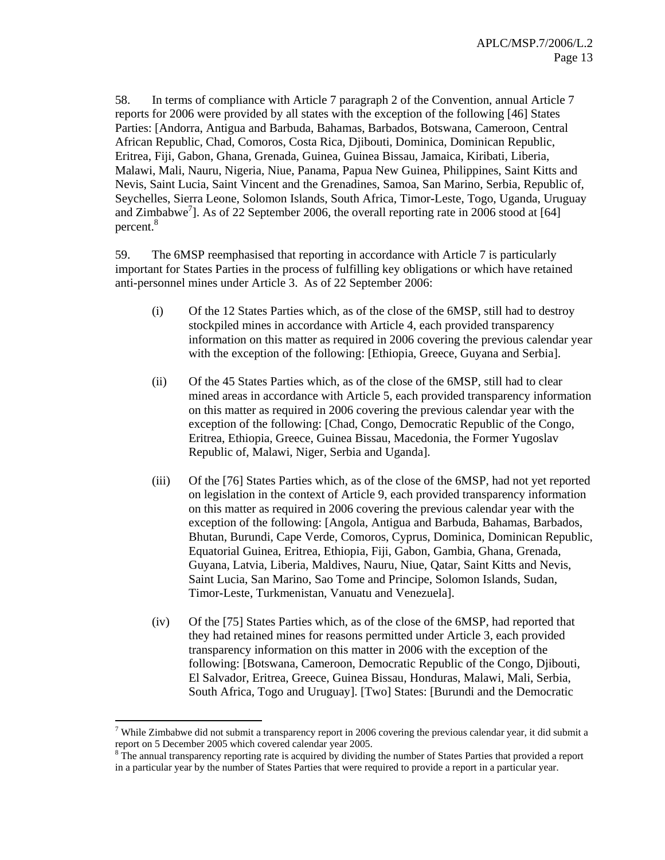58. In terms of compliance with Article 7 paragraph 2 of the Convention, annual Article 7 reports for 2006 were provided by all states with the exception of the following [46] States Parties: [Andorra, Antigua and Barbuda, Bahamas, Barbados, Botswana, Cameroon, Central African Republic, Chad, Comoros, Costa Rica, Djibouti, Dominica, Dominican Republic, Eritrea, Fiji, Gabon, Ghana, Grenada, Guinea, Guinea Bissau, Jamaica, Kiribati, Liberia, Malawi, Mali, Nauru, Nigeria, Niue, Panama, Papua New Guinea, Philippines, Saint Kitts and Nevis, Saint Lucia, Saint Vincent and the Grenadines, Samoa, San Marino, Serbia, Republic of, Seychelles, Sierra Leone, Solomon Islands, South Africa, Timor-Leste, Togo, Uganda, Uruguay and Zimbabwe<sup>7</sup>]. As of 22 September 2006, the overall reporting rate in 2006 stood at [64] percent.<sup>8</sup>

59. The 6MSP reemphasised that reporting in accordance with Article 7 is particularly important for States Parties in the process of fulfilling key obligations or which have retained anti-personnel mines under Article 3. As of 22 September 2006:

- (i) Of the 12 States Parties which, as of the close of the 6MSP, still had to destroy stockpiled mines in accordance with Article 4, each provided transparency information on this matter as required in 2006 covering the previous calendar year with the exception of the following: [Ethiopia, Greece, Guyana and Serbia].
- (ii) Of the 45 States Parties which, as of the close of the 6MSP, still had to clear mined areas in accordance with Article 5, each provided transparency information on this matter as required in 2006 covering the previous calendar year with the exception of the following: [Chad, Congo, Democratic Republic of the Congo, Eritrea, Ethiopia, Greece, Guinea Bissau, Macedonia, the Former Yugoslav Republic of, Malawi, Niger, Serbia and Uganda].
- (iii) Of the [76] States Parties which, as of the close of the 6MSP, had not yet reported on legislation in the context of Article 9, each provided transparency information on this matter as required in 2006 covering the previous calendar year with the exception of the following: [Angola, Antigua and Barbuda, Bahamas, Barbados, Bhutan, Burundi, Cape Verde, Comoros, Cyprus, Dominica, Dominican Republic, Equatorial Guinea, Eritrea, Ethiopia, Fiji, Gabon, Gambia, Ghana, Grenada, Guyana, Latvia, Liberia, Maldives, Nauru, Niue, Qatar, Saint Kitts and Nevis, Saint Lucia, San Marino, Sao Tome and Principe, Solomon Islands, Sudan, Timor-Leste, Turkmenistan, Vanuatu and Venezuela].
- (iv) Of the [75] States Parties which, as of the close of the 6MSP, had reported that they had retained mines for reasons permitted under Article 3, each provided transparency information on this matter in 2006 with the exception of the following: [Botswana, Cameroon, Democratic Republic of the Congo, Djibouti, El Salvador, Eritrea, Greece, Guinea Bissau, Honduras, Malawi, Mali, Serbia, South Africa, Togo and Uruguay]. [Two] States: [Burundi and the Democratic

 $\overline{a}$ 

<sup>&</sup>lt;sup>7</sup> While Zimbabwe did not submit a transparency report in 2006 covering the previous calendar year, it did submit a report on 5 December 2005 which covered calendar year 2005.

<sup>&</sup>lt;sup>8</sup> The annual transparency reporting rate is acquired by dividing the number of States Parties that provided a report in a particular year by the number of States Parties that were required to provide a report in a particular year.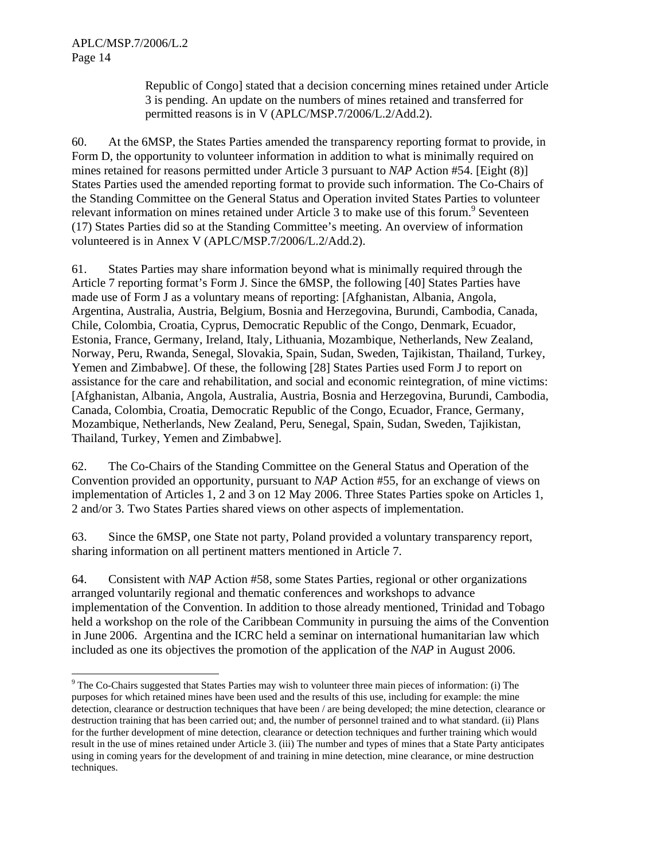-

Republic of Congo] stated that a decision concerning mines retained under Article 3 is pending. An update on the numbers of mines retained and transferred for permitted reasons is in V (APLC/MSP.7/2006/L.2/Add.2).

60. At the 6MSP, the States Parties amended the transparency reporting format to provide, in Form D, the opportunity to volunteer information in addition to what is minimally required on mines retained for reasons permitted under Article 3 pursuant to *NAP* Action #54. [Eight (8)] States Parties used the amended reporting format to provide such information. The Co-Chairs of the Standing Committee on the General Status and Operation invited States Parties to volunteer relevant information on mines retained under Article  $\overline{3}$  to make use of this forum.<sup>9</sup> Seventeen (17) States Parties did so at the Standing Committee's meeting. An overview of information volunteered is in Annex V (APLC/MSP.7/2006/L.2/Add.2).

61. States Parties may share information beyond what is minimally required through the Article 7 reporting format's Form J. Since the 6MSP, the following [40] States Parties have made use of Form J as a voluntary means of reporting: [Afghanistan, Albania, Angola, Argentina, Australia, Austria, Belgium, Bosnia and Herzegovina, Burundi, Cambodia, Canada, Chile, Colombia, Croatia, Cyprus, Democratic Republic of the Congo, Denmark, Ecuador, Estonia, France, Germany, Ireland, Italy, Lithuania, Mozambique, Netherlands, New Zealand, Norway, Peru, Rwanda, Senegal, Slovakia, Spain, Sudan, Sweden, Tajikistan, Thailand, Turkey, Yemen and Zimbabwe]. Of these, the following [28] States Parties used Form J to report on assistance for the care and rehabilitation, and social and economic reintegration, of mine victims: [Afghanistan, Albania, Angola, Australia, Austria, Bosnia and Herzegovina, Burundi, Cambodia, Canada, Colombia, Croatia, Democratic Republic of the Congo, Ecuador, France, Germany, Mozambique, Netherlands, New Zealand, Peru, Senegal, Spain, Sudan, Sweden, Tajikistan, Thailand, Turkey, Yemen and Zimbabwe].

62. The Co-Chairs of the Standing Committee on the General Status and Operation of the Convention provided an opportunity, pursuant to *NAP* Action #55, for an exchange of views on implementation of Articles 1, 2 and 3 on 12 May 2006. Three States Parties spoke on Articles 1, 2 and/or 3. Two States Parties shared views on other aspects of implementation.

63. Since the 6MSP, one State not party, Poland provided a voluntary transparency report, sharing information on all pertinent matters mentioned in Article 7.

64. Consistent with *NAP* Action #58, some States Parties, regional or other organizations arranged voluntarily regional and thematic conferences and workshops to advance implementation of the Convention. In addition to those already mentioned, Trinidad and Tobago held a workshop on the role of the Caribbean Community in pursuing the aims of the Convention in June 2006. Argentina and the ICRC held a seminar on international humanitarian law which included as one its objectives the promotion of the application of the *NAP* in August 2006.

<sup>&</sup>lt;sup>9</sup> The Co-Chairs suggested that States Parties may wish to volunteer three main pieces of information: (i) The purposes for which retained mines have been used and the results of this use, including for example: the mine detection, clearance or destruction techniques that have been / are being developed; the mine detection, clearance or destruction training that has been carried out; and, the number of personnel trained and to what standard. (ii) Plans for the further development of mine detection, clearance or detection techniques and further training which would result in the use of mines retained under Article 3. (iii) The number and types of mines that a State Party anticipates using in coming years for the development of and training in mine detection, mine clearance, or mine destruction techniques.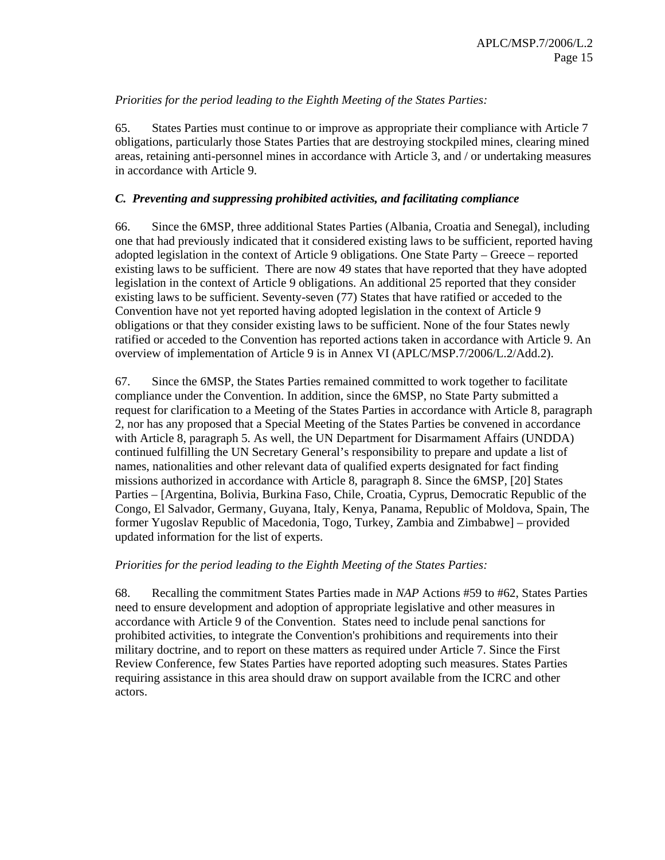## *Priorities for the period leading to the Eighth Meeting of the States Parties:*

65. States Parties must continue to or improve as appropriate their compliance with Article 7 obligations, particularly those States Parties that are destroying stockpiled mines, clearing mined areas, retaining anti-personnel mines in accordance with Article 3, and / or undertaking measures in accordance with Article 9.

## *C. Preventing and suppressing prohibited activities, and facilitating compliance*

66. Since the 6MSP, three additional States Parties (Albania, Croatia and Senegal), including one that had previously indicated that it considered existing laws to be sufficient, reported having adopted legislation in the context of Article 9 obligations. One State Party – Greece – reported existing laws to be sufficient. There are now 49 states that have reported that they have adopted legislation in the context of Article 9 obligations. An additional 25 reported that they consider existing laws to be sufficient. Seventy-seven (77) States that have ratified or acceded to the Convention have not yet reported having adopted legislation in the context of Article 9 obligations or that they consider existing laws to be sufficient. None of the four States newly ratified or acceded to the Convention has reported actions taken in accordance with Article 9. An overview of implementation of Article 9 is in Annex VI (APLC/MSP.7/2006/L.2/Add.2).

67. Since the 6MSP, the States Parties remained committed to work together to facilitate compliance under the Convention. In addition, since the 6MSP, no State Party submitted a request for clarification to a Meeting of the States Parties in accordance with Article 8, paragraph 2, nor has any proposed that a Special Meeting of the States Parties be convened in accordance with Article 8, paragraph 5. As well, the UN Department for Disarmament Affairs (UNDDA) continued fulfilling the UN Secretary General's responsibility to prepare and update a list of names, nationalities and other relevant data of qualified experts designated for fact finding missions authorized in accordance with Article 8, paragraph 8. Since the 6MSP, [20] States Parties – [Argentina, Bolivia, Burkina Faso, Chile, Croatia, Cyprus, Democratic Republic of the Congo, El Salvador, Germany, Guyana, Italy, Kenya, Panama, Republic of Moldova, Spain, The former Yugoslav Republic of Macedonia, Togo, Turkey, Zambia and Zimbabwe] – provided updated information for the list of experts.

#### *Priorities for the period leading to the Eighth Meeting of the States Parties:*

68. Recalling the commitment States Parties made in *NAP* Actions #59 to #62, States Parties need to ensure development and adoption of appropriate legislative and other measures in accordance with Article 9 of the Convention. States need to include penal sanctions for prohibited activities, to integrate the Convention's prohibitions and requirements into their military doctrine, and to report on these matters as required under Article 7. Since the First Review Conference, few States Parties have reported adopting such measures. States Parties requiring assistance in this area should draw on support available from the ICRC and other actors.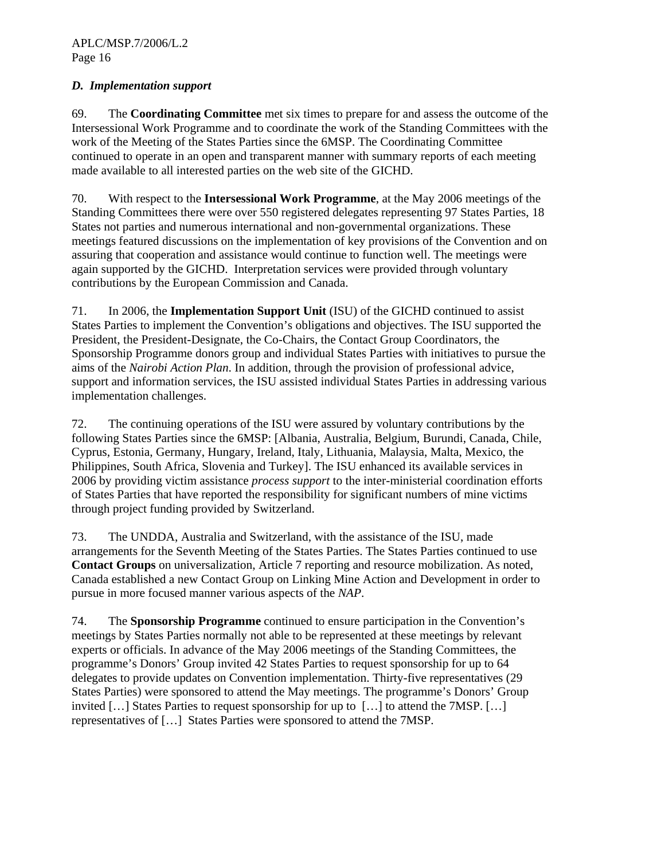# *D. Implementation support*

69. The **Coordinating Committee** met six times to prepare for and assess the outcome of the Intersessional Work Programme and to coordinate the work of the Standing Committees with the work of the Meeting of the States Parties since the 6MSP. The Coordinating Committee continued to operate in an open and transparent manner with summary reports of each meeting made available to all interested parties on the web site of the GICHD.

70. With respect to the **Intersessional Work Programme**, at the May 2006 meetings of the Standing Committees there were over 550 registered delegates representing 97 States Parties, 18 States not parties and numerous international and non-governmental organizations. These meetings featured discussions on the implementation of key provisions of the Convention and on assuring that cooperation and assistance would continue to function well. The meetings were again supported by the GICHD. Interpretation services were provided through voluntary contributions by the European Commission and Canada.

71. In 2006, the **Implementation Support Unit** (ISU) of the GICHD continued to assist States Parties to implement the Convention's obligations and objectives. The ISU supported the President, the President-Designate, the Co-Chairs, the Contact Group Coordinators, the Sponsorship Programme donors group and individual States Parties with initiatives to pursue the aims of the *Nairobi Action Plan*. In addition, through the provision of professional advice, support and information services, the ISU assisted individual States Parties in addressing various implementation challenges.

72. The continuing operations of the ISU were assured by voluntary contributions by the following States Parties since the 6MSP: [Albania, Australia, Belgium, Burundi, Canada, Chile, Cyprus, Estonia, Germany, Hungary, Ireland, Italy, Lithuania, Malaysia, Malta, Mexico, the Philippines, South Africa, Slovenia and Turkey]. The ISU enhanced its available services in 2006 by providing victim assistance *process support* to the inter-ministerial coordination efforts of States Parties that have reported the responsibility for significant numbers of mine victims through project funding provided by Switzerland.

73. The UNDDA, Australia and Switzerland, with the assistance of the ISU, made arrangements for the Seventh Meeting of the States Parties. The States Parties continued to use **Contact Groups** on universalization, Article 7 reporting and resource mobilization. As noted, Canada established a new Contact Group on Linking Mine Action and Development in order to pursue in more focused manner various aspects of the *NAP*.

74. The **Sponsorship Programme** continued to ensure participation in the Convention's meetings by States Parties normally not able to be represented at these meetings by relevant experts or officials. In advance of the May 2006 meetings of the Standing Committees, the programme's Donors' Group invited 42 States Parties to request sponsorship for up to 64 delegates to provide updates on Convention implementation. Thirty-five representatives (29 States Parties) were sponsored to attend the May meetings. The programme's Donors' Group invited […] States Parties to request sponsorship for up to […] to attend the 7MSP. […] representatives of […] States Parties were sponsored to attend the 7MSP.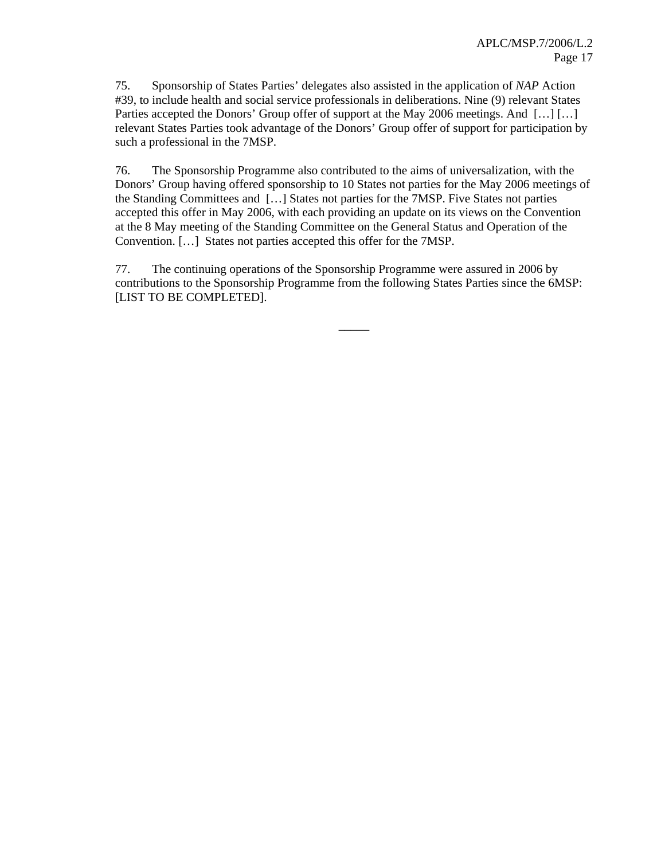75. Sponsorship of States Parties' delegates also assisted in the application of *NAP* Action #39, to include health and social service professionals in deliberations. Nine (9) relevant States Parties accepted the Donors' Group offer of support at the May 2006 meetings. And [...] [...] relevant States Parties took advantage of the Donors' Group offer of support for participation by such a professional in the 7MSP.

76. The Sponsorship Programme also contributed to the aims of universalization, with the Donors' Group having offered sponsorship to 10 States not parties for the May 2006 meetings of the Standing Committees and […] States not parties for the 7MSP. Five States not parties accepted this offer in May 2006, with each providing an update on its views on the Convention at the 8 May meeting of the Standing Committee on the General Status and Operation of the Convention. […] States not parties accepted this offer for the 7MSP.

77. The continuing operations of the Sponsorship Programme were assured in 2006 by contributions to the Sponsorship Programme from the following States Parties since the 6MSP: [LIST TO BE COMPLETED].

 $\overline{\phantom{a}}$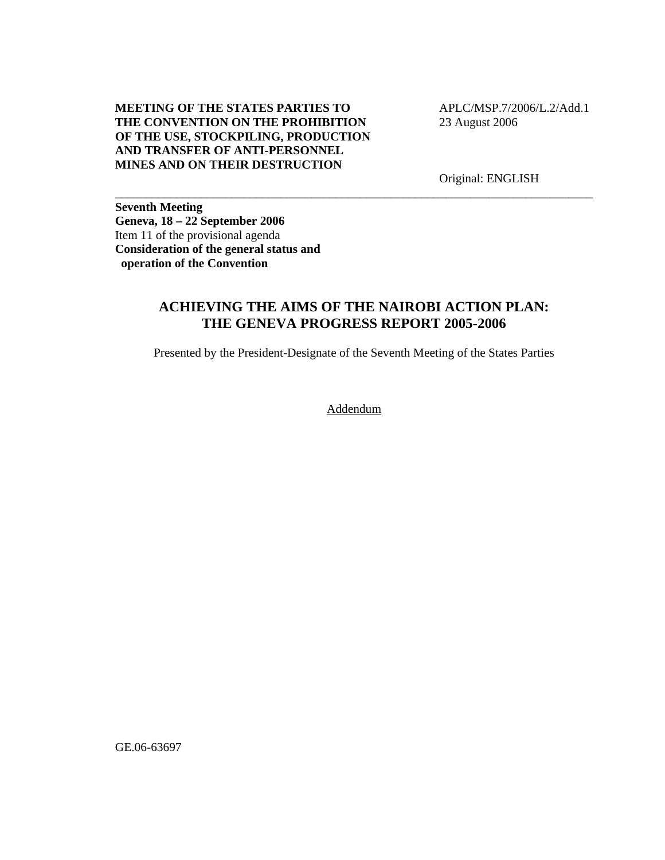## **MEETING OF THE STATES PARTIES TO THE CONVENTION ON THE PROHIBITION OF THE USE, STOCKPILING, PRODUCTION AND TRANSFER OF ANTI-PERSONNEL MINES AND ON THEIR DESTRUCTION**

 APLC/MSP.7/2006/L.2/Add.1 23 August 2006

Original: ENGLISH

**Seventh Meeting Geneva, 18 – 22 September 2006**  Item 11 of the provisional agenda **Consideration of the general status and operation of the Convention** 

# **ACHIEVING THE AIMS OF THE NAIROBI ACTION PLAN: THE GENEVA PROGRESS REPORT 2005-2006**

\_\_\_\_\_\_\_\_\_\_\_\_\_\_\_\_\_\_\_\_\_\_\_\_\_\_\_\_\_\_\_\_\_\_\_\_\_\_\_\_\_\_\_\_\_\_\_\_\_\_\_\_\_\_\_\_\_\_\_\_\_\_\_\_\_\_\_\_\_\_\_\_\_\_\_\_\_\_

Presented by the President-Designate of the Seventh Meeting of the States Parties

Addendum

GE.06-63697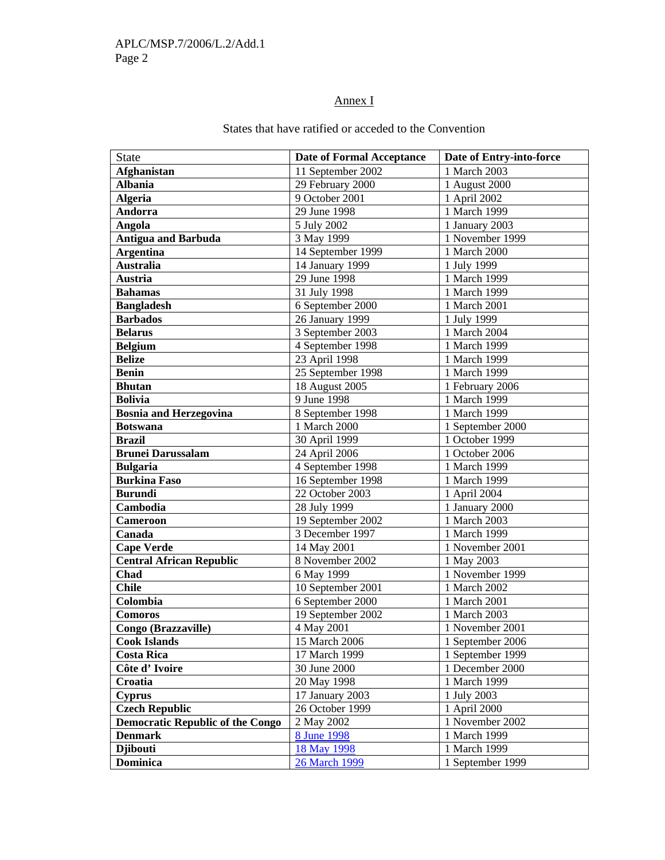# Annex I

| <b>State</b>                            | <b>Date of Formal Acceptance</b> | Date of Entry-into-force |
|-----------------------------------------|----------------------------------|--------------------------|
| Afghanistan                             | 11 September 2002                | 1 March 2003             |
| <b>Albania</b>                          | 29 February 2000                 | 1 August 2000            |
| <b>Algeria</b>                          | 9 October 2001                   | 1 April 2002             |
| Andorra                                 | 29 June 1998                     | 1 March 1999             |
| Angola                                  | 5 July 2002                      | 1 January 2003           |
| <b>Antigua and Barbuda</b>              | 3 May 1999                       | 1 November 1999          |
| <b>Argentina</b>                        | 14 September 1999                | 1 March 2000             |
| <b>Australia</b>                        | 14 January 1999                  | 1 July 1999              |
| Austria                                 | 29 June 1998                     | 1 March 1999             |
| <b>Bahamas</b>                          | 31 July 1998                     | 1 March 1999             |
| <b>Bangladesh</b>                       | 6 September 2000                 | 1 March 2001             |
| <b>Barbados</b>                         | 26 January 1999                  | 1 July 1999              |
| <b>Belarus</b>                          | 3 September 2003                 | 1 March 2004             |
| <b>Belgium</b>                          | 4 September 1998                 | 1 March 1999             |
| <b>Belize</b>                           | 23 April 1998                    | 1 March 1999             |
| <b>Benin</b>                            | 25 September 1998                | 1 March 1999             |
| <b>Bhutan</b>                           | 18 August 2005                   | 1 February 2006          |
| <b>Bolivia</b>                          | 9 June 1998                      | 1 March 1999             |
| <b>Bosnia and Herzegovina</b>           | 8 September 1998                 | 1 March 1999             |
| <b>Botswana</b>                         | 1 March 2000                     | 1 September 2000         |
| <b>Brazil</b>                           | 30 April 1999                    | 1 October 1999           |
| <b>Brunei Darussalam</b>                | 24 April 2006                    | 1 October 2006           |
| <b>Bulgaria</b>                         | 4 September 1998                 | 1 March 1999             |
| <b>Burkina Faso</b>                     | 16 September 1998                | 1 March 1999             |
| <b>Burundi</b>                          | 22 October 2003                  | 1 April 2004             |
| Cambodia                                | 28 July 1999                     | 1 January 2000           |
| <b>Cameroon</b>                         | 19 September 2002                | 1 March 2003             |
| Canada                                  | 3 December 1997                  | 1 March 1999             |
| <b>Cape Verde</b>                       | 14 May 2001                      | 1 November 2001          |
| <b>Central African Republic</b>         | 8 November 2002                  | 1 May 2003               |
| Chad                                    | 6 May 1999                       | 1 November 1999          |
| <b>Chile</b>                            | 10 September 2001                | 1 March 2002             |
| Colombia                                | 6 September 2000                 | 1 March 2001             |
| <b>Comoros</b>                          | 19 September 2002                | 1 March 2003             |
| Congo (Brazzaville)                     | 4 May 2001                       | 1 November 2001          |
| <b>Cook Islands</b>                     | 15 March 2006                    | 1 September 2006         |
| <b>Costa Rica</b>                       | 17 March 1999                    | 1 September 1999         |
| Côte d'Ivoire                           | 30 June 2000                     | 1 December 2000          |
| Croatia                                 | 20 May 1998                      | 1 March 1999             |
| <b>Cyprus</b>                           | 17 January 2003                  | 1 July 2003              |
| <b>Czech Republic</b>                   | 26 October 1999                  | 1 April 2000             |
| <b>Democratic Republic of the Congo</b> | 2 May 2002                       | 1 November 2002          |
| <b>Denmark</b>                          | 8 June 1998                      | 1 March 1999             |
| <b>Djibouti</b>                         | 18 May 1998                      | 1 March 1999             |
| <b>Dominica</b>                         | 26 March 1999                    | 1 September 1999         |

# States that have ratified or acceded to the Convention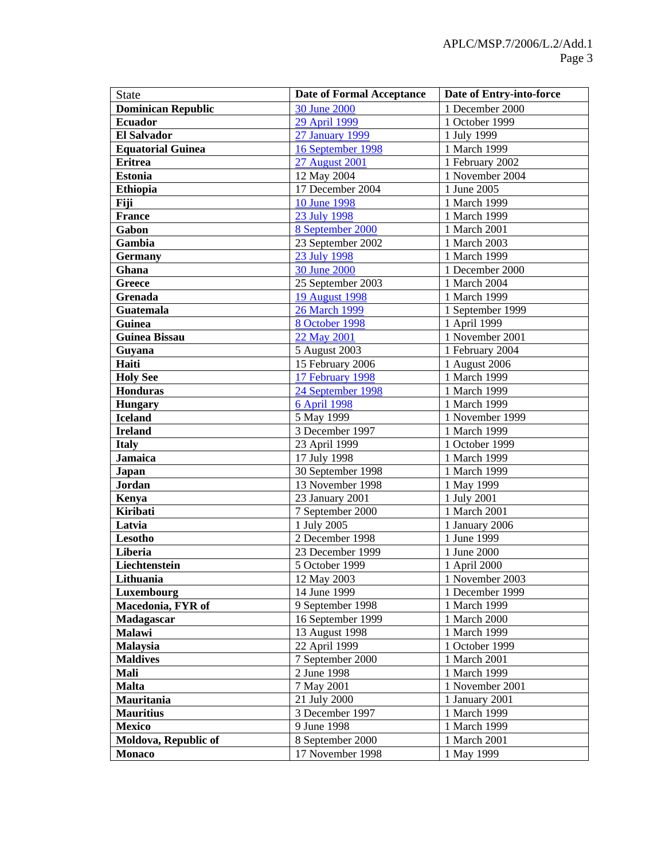| <b>State</b>              | <b>Date of Formal Acceptance</b> | Date of Entry-into-force |
|---------------------------|----------------------------------|--------------------------|
| <b>Dominican Republic</b> | 30 June 2000                     | 1 December 2000          |
| <b>Ecuador</b>            | 29 April 1999                    | 1 October 1999           |
| <b>El Salvador</b>        | 27 January 1999                  | 1 July 1999              |
| <b>Equatorial Guinea</b>  | 16 September 1998                | 1 March 1999             |
| <b>Eritrea</b>            | 27 August 2001                   | 1 February 2002          |
| <b>Estonia</b>            | 12 May 2004                      | 1 November 2004          |
| <b>Ethiopia</b>           | 17 December 2004                 | 1 June 2005              |
| Fiji                      | 10 June 1998                     | 1 March 1999             |
| <b>France</b>             | 23 July 1998                     | 1 March 1999             |
| Gabon                     | 8 September 2000                 | 1 March 2001             |
| Gambia                    | 23 September 2002                | 1 March 2003             |
| <b>Germany</b>            | 23 July 1998                     | 1 March 1999             |
| Ghana                     | 30 June 2000                     | 1 December 2000          |
| <b>Greece</b>             | 25 September 2003                | 1 March 2004             |
| Grenada                   | 19 August 1998                   | 1 March 1999             |
| Guatemala                 | 26 March 1999                    | 1 September 1999         |
| Guinea                    | 8 October 1998                   | 1 April 1999             |
| Guinea Bissau             | 22 May 2001                      | 1 November 2001          |
| Guyana                    | 5 August 2003                    | 1 February 2004          |
| Haiti                     | 15 February 2006                 | 1 August 2006            |
| <b>Holy See</b>           | 17 February 1998                 | 1 March 1999             |
| <b>Honduras</b>           | 24 September 1998                | 1 March 1999             |
| <b>Hungary</b>            | <b>6 April 1998</b>              | 1 March 1999             |
| <b>Iceland</b>            | 5 May 1999                       | 1 November 1999          |
| <b>Ireland</b>            | 3 December 1997                  | 1 March 1999             |
| <b>Italy</b>              | 23 April 1999                    | 1 October 1999           |
| <b>Jamaica</b>            | 17 July 1998                     | 1 March 1999             |
| <b>Japan</b>              | 30 September 1998                | 1 March 1999             |
| <b>Jordan</b>             | 13 November 1998                 | 1 May 1999               |
| Kenya                     | 23 January 2001                  | 1 July 2001              |
| <b>Kiribati</b>           | 7 September 2000                 | 1 March 2001             |
| Latvia                    | 1 July 2005                      | 1 January 2006           |
| Lesotho                   | 2 December 1998                  | 1 June 1999              |
| Liberia                   | 23 December 1999                 | 1 June 2000              |
| Liechtenstein             | 5 October 1999                   | 1 April 2000             |
| Lithuania                 | 12 May 2003                      | 1 November 2003          |
| Luxembourg                | 14 June 1999                     | 1 December 1999          |
| Macedonia, FYR of         | 9 September 1998                 | 1 March 1999             |
| Madagascar                | 16 September 1999                | 1 March 2000             |
| Malawi                    | 13 August 1998                   | 1 March 1999             |
| Malaysia                  | 22 April 1999                    | 1 October 1999           |
| <b>Maldives</b>           | 7 September 2000                 | 1 March 2001             |
| Mali                      | 2 June 1998                      | 1 March 1999             |
| <b>Malta</b>              | 7 May 2001                       | 1 November 2001          |
| Mauritania                | 21 July 2000                     | 1 January 2001           |
| <b>Mauritius</b>          | 3 December 1997                  | 1 March 1999             |
| <b>Mexico</b>             | 9 June 1998                      | 1 March 1999             |
| Moldova, Republic of      | 8 September 2000                 | 1 March 2001             |
| <b>Monaco</b>             | 17 November 1998                 | 1 May 1999               |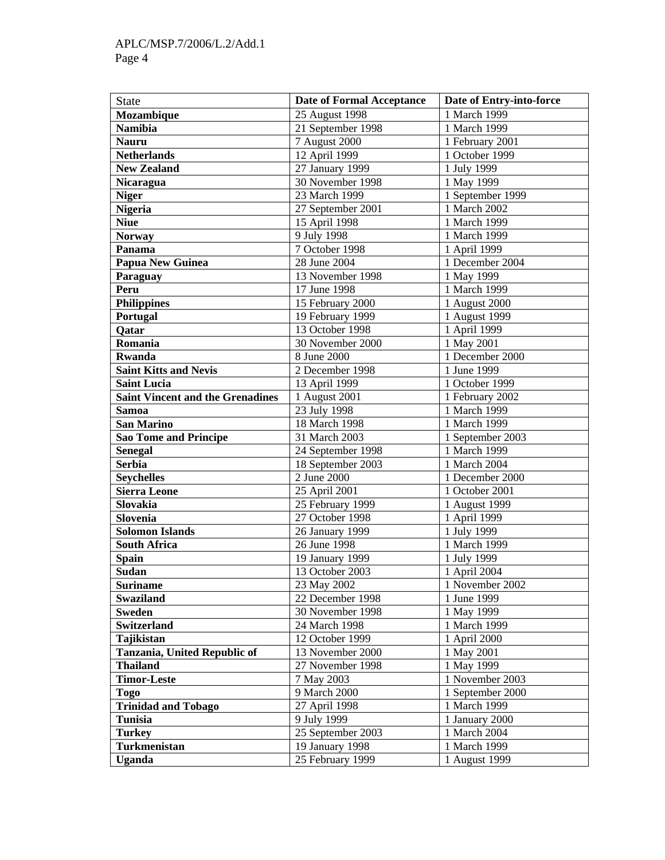| State                                   | <b>Date of Formal Acceptance</b> | Date of Entry-into-force |
|-----------------------------------------|----------------------------------|--------------------------|
| Mozambique                              | 25 August 1998                   | 1 March 1999             |
| <b>Namibia</b>                          | 21 September 1998                | 1 March 1999             |
| <b>Nauru</b>                            | 7 August 2000                    | 1 February 2001          |
| <b>Netherlands</b>                      | 12 April 1999                    | 1 October 1999           |
| <b>New Zealand</b>                      | 27 January 1999                  | 1 July 1999              |
| <b>Nicaragua</b>                        | 30 November 1998                 | 1 May 1999               |
| <b>Niger</b>                            | 23 March 1999                    | 1 September 1999         |
| <b>Nigeria</b>                          | 27 September 2001                | 1 March 2002             |
| <b>Niue</b>                             | 15 April 1998                    | 1 March 1999             |
| <b>Norway</b>                           | 9 July 1998                      | 1 March 1999             |
| Panama                                  | 7 October 1998                   | 1 April 1999             |
| Papua New Guinea                        | 28 June 2004                     | 1 December 2004          |
| Paraguay                                | 13 November 1998                 | 1 May 1999               |
| Peru                                    | 17 June 1998                     | 1 March 1999             |
| <b>Philippines</b>                      | 15 February 2000                 | 1 August 2000            |
| Portugal                                | 19 February 1999                 | 1 August 1999            |
| Qatar                                   | 13 October 1998                  | 1 April 1999             |
| Romania                                 | 30 November 2000                 | 1 May 2001               |
| <b>Rwanda</b>                           | 8 June 2000                      | 1 December 2000          |
| <b>Saint Kitts and Nevis</b>            | 2 December 1998                  | 1 June 1999              |
| <b>Saint Lucia</b>                      | 13 April 1999                    | 1 October 1999           |
| <b>Saint Vincent and the Grenadines</b> | 1 August 2001                    | 1 February 2002          |
| <b>Samoa</b>                            | 23 July 1998                     | 1 March 1999             |
| <b>San Marino</b>                       | 18 March 1998                    | 1 March 1999             |
| <b>Sao Tome and Principe</b>            | 31 March 2003                    | 1 September 2003         |
| <b>Senegal</b>                          | 24 September 1998                | 1 March 1999             |
| <b>Serbia</b>                           | 18 September 2003                | 1 March 2004             |
| <b>Seychelles</b>                       | 2 June 2000                      | 1 December 2000          |
| <b>Sierra Leone</b>                     | 25 April 2001                    | 1 October 2001           |
| Slovakia                                | 25 February 1999                 | 1 August 1999            |
| Slovenia                                | 27 October 1998                  | 1 April 1999             |
| <b>Solomon Islands</b>                  | 26 January 1999                  | 1 July 1999              |
| <b>South Africa</b>                     | 26 June 1998                     | 1 March 1999             |
| <b>Spain</b>                            | 19 January 1999                  | 1 July 1999              |
| Sudan                                   | 13 October 2003                  | 1 April 2004             |
| <b>Suriname</b>                         | 23 May 2002                      | 1 November 2002          |
| <b>Swaziland</b>                        | 22 December 1998                 | 1 June 1999              |
| <b>Sweden</b>                           | 30 November 1998                 | 1 May 1999               |
| Switzerland                             | 24 March 1998                    | 1 March 1999             |
| Tajikistan                              | 12 October 1999                  | 1 April 2000             |
| Tanzania, United Republic of            | 13 November 2000                 | $\overline{1}$ May 2001  |
| <b>Thailand</b>                         | 27 November 1998                 | 1 May 1999               |
| <b>Timor-Leste</b>                      | 7 May 2003                       | 1 November 2003          |
| <b>Togo</b>                             | 9 March 2000                     | 1 September 2000         |
| <b>Trinidad and Tobago</b>              | 27 April 1998                    | 1 March 1999             |
| Tunisia                                 | 9 July 1999                      | 1 January 2000           |
| <b>Turkey</b>                           | 25 September 2003                | 1 March 2004             |
| Turkmenistan                            | 19 January 1998                  | 1 March 1999             |
| Uganda                                  | 25 February 1999                 | 1 August 1999            |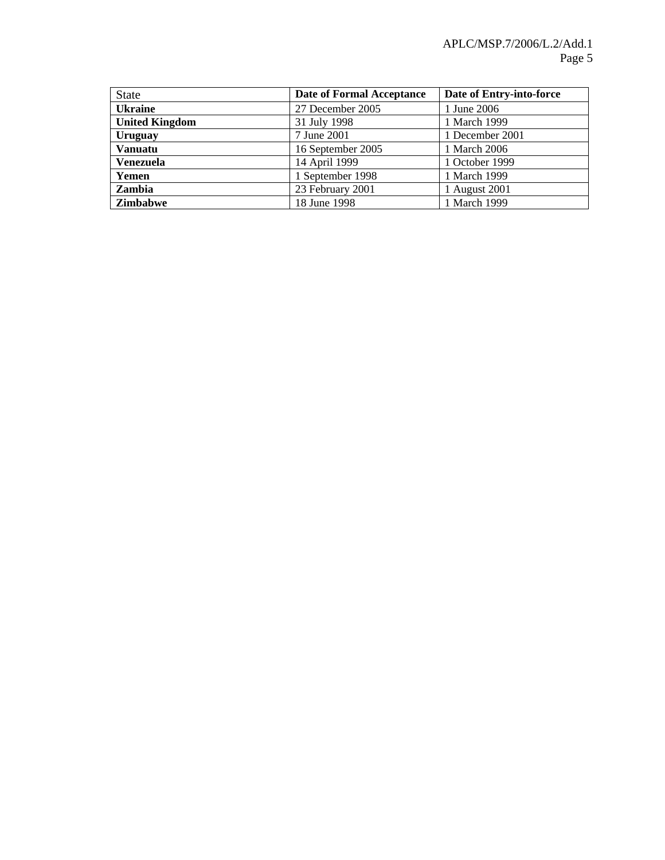| <b>State</b>          | <b>Date of Formal Acceptance</b> | Date of Entry-into-force |
|-----------------------|----------------------------------|--------------------------|
| <b>Ukraine</b>        | 27 December 2005                 | 1 June 2006              |
| <b>United Kingdom</b> | 31 July 1998                     | 1 March 1999             |
| Uruguay               | 7 June 2001                      | 1 December 2001          |
| <b>Vanuatu</b>        | 16 September 2005                | 1 March 2006             |
| <b>Venezuela</b>      | 14 April 1999                    | 1 October 1999           |
| Yemen                 | 1 September 1998                 | 1 March 1999             |
| Zambia                | 23 February 2001                 | 1 August 2001            |
| <b>Zimbabwe</b>       | 18 June 1998                     | 1 March 1999             |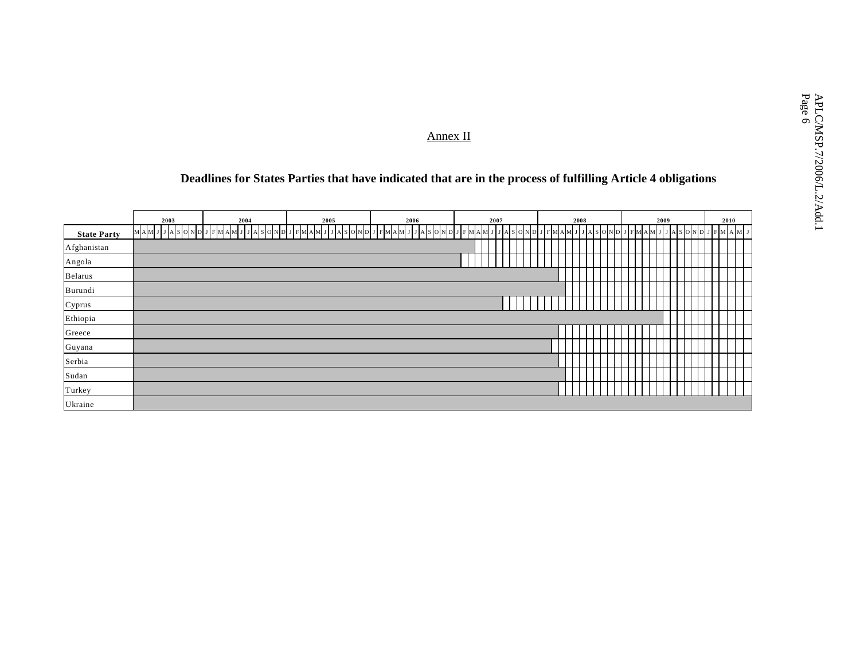Annex II

# **Deadlines for States Parties that have indicated that are in the process of fulfilling Article 4 obligations**

|                    | 2003 | 2004                                                                                                | 2005 | 2006 | 2007 |         | 2008 |  |  | 2009 |                                                | 2010 |  |
|--------------------|------|-----------------------------------------------------------------------------------------------------|------|------|------|---------|------|--|--|------|------------------------------------------------|------|--|
| <b>State Party</b> |      | MAMI]JA[s 0 N D J[F MAMI]J A[s 0 N D J[F MAMI]J A[S 0 N D J[F MAMI]J A[S 0 N D J[F MAMI]J A[S 0 N D |      |      |      | J F M A |      |  |  |      | . s o N D J F M A M J J A S O N D J F M A M  : |      |  |
| Afghanistan        |      |                                                                                                     |      |      |      |         |      |  |  |      |                                                |      |  |
| Angola             |      |                                                                                                     |      |      |      |         |      |  |  |      |                                                |      |  |
| Belarus            |      |                                                                                                     |      |      |      |         |      |  |  |      |                                                |      |  |
| Burundi            |      |                                                                                                     |      |      |      |         |      |  |  |      |                                                |      |  |
| Cyprus             |      |                                                                                                     |      |      |      |         |      |  |  |      |                                                |      |  |
| Ethiopia           |      |                                                                                                     |      |      |      |         |      |  |  |      |                                                |      |  |
| Greece             |      |                                                                                                     |      |      |      |         |      |  |  |      |                                                |      |  |
| Guyana             |      |                                                                                                     |      |      |      |         |      |  |  |      |                                                |      |  |
| Serbia             |      |                                                                                                     |      |      |      |         |      |  |  |      |                                                |      |  |
| Sudan              |      |                                                                                                     |      |      |      |         |      |  |  |      |                                                |      |  |
| Turkey             |      |                                                                                                     |      |      |      |         |      |  |  |      |                                                |      |  |
| Ukraine            |      |                                                                                                     |      |      |      |         |      |  |  |      |                                                |      |  |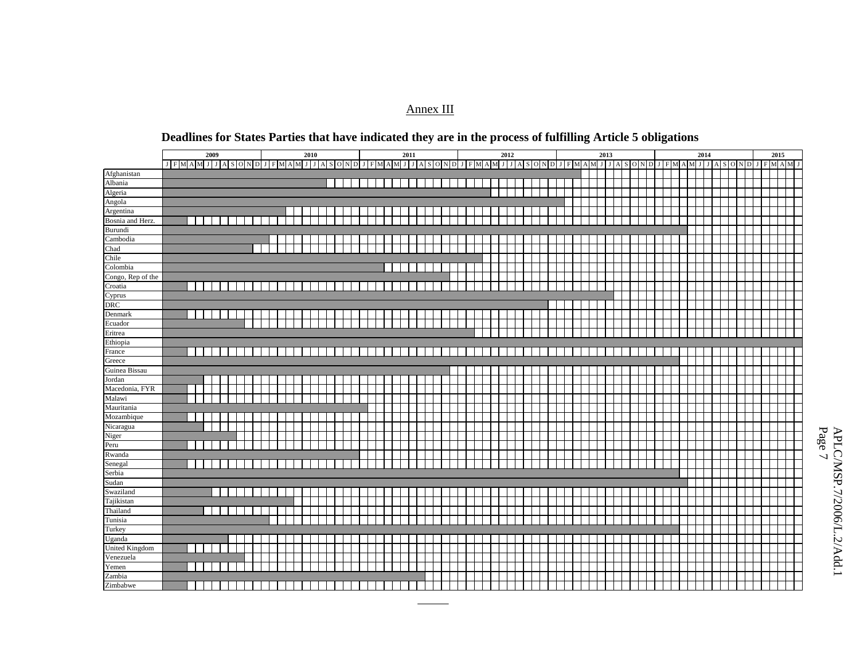#### Annex III

| JFMAMJJASONDJFMAMJJASONDJFMAMJJASONDJFMAMJJASONDJFMAMJJASONDJFMAMJJA<br>$F$ M A M J<br>ASONDJFM<br>$A$ SONDJ<br>Congo, Rep of the<br>Eritrea<br>Ethiopia<br>France<br>Guinea Bissau<br>Jordan<br>Macedonia, FYR<br>Malawi<br>Mauritania<br>Mozambique<br>Nicaragua<br>Niger<br>Peru<br>Rwanda<br>Senegal<br>Serbia<br>Sudan<br>Swaziland<br>Tajikistan<br>Thailand<br>Tunisia<br>Turkey<br>Uganda<br>United Kingdom<br>Venezuela<br>Zimbabwe |                  | 2009 | 2010 | 2011 | 2012 | 2013 | 2014<br>2015 |
|----------------------------------------------------------------------------------------------------------------------------------------------------------------------------------------------------------------------------------------------------------------------------------------------------------------------------------------------------------------------------------------------------------------------------------------------|------------------|------|------|------|------|------|--------------|
|                                                                                                                                                                                                                                                                                                                                                                                                                                              |                  |      |      |      |      |      |              |
|                                                                                                                                                                                                                                                                                                                                                                                                                                              | Afghanistan      |      |      |      |      |      |              |
|                                                                                                                                                                                                                                                                                                                                                                                                                                              | Albania          |      |      |      |      |      |              |
|                                                                                                                                                                                                                                                                                                                                                                                                                                              | Algeria          |      |      |      |      |      |              |
|                                                                                                                                                                                                                                                                                                                                                                                                                                              | Angola           |      |      |      |      |      |              |
|                                                                                                                                                                                                                                                                                                                                                                                                                                              | Argentina        |      |      |      |      |      |              |
|                                                                                                                                                                                                                                                                                                                                                                                                                                              | Bosnia and Herz. |      |      |      |      |      |              |
|                                                                                                                                                                                                                                                                                                                                                                                                                                              | Burundi          |      |      |      |      |      |              |
|                                                                                                                                                                                                                                                                                                                                                                                                                                              | Cambodia         |      |      |      |      |      |              |
|                                                                                                                                                                                                                                                                                                                                                                                                                                              | Chad             |      |      |      |      |      |              |
|                                                                                                                                                                                                                                                                                                                                                                                                                                              | Chile            |      |      |      |      |      |              |
|                                                                                                                                                                                                                                                                                                                                                                                                                                              | Colombia         |      |      |      |      |      |              |
|                                                                                                                                                                                                                                                                                                                                                                                                                                              |                  |      |      |      |      |      |              |
|                                                                                                                                                                                                                                                                                                                                                                                                                                              | Croatia          |      |      |      |      |      |              |
|                                                                                                                                                                                                                                                                                                                                                                                                                                              | Cyprus           |      |      |      |      |      |              |
|                                                                                                                                                                                                                                                                                                                                                                                                                                              | <b>DRC</b>       |      |      |      |      |      |              |
|                                                                                                                                                                                                                                                                                                                                                                                                                                              | Denmark          |      |      |      |      |      |              |
|                                                                                                                                                                                                                                                                                                                                                                                                                                              | Ecuador          |      |      |      |      |      |              |
|                                                                                                                                                                                                                                                                                                                                                                                                                                              |                  |      |      |      |      |      |              |
|                                                                                                                                                                                                                                                                                                                                                                                                                                              |                  |      |      |      |      |      |              |
|                                                                                                                                                                                                                                                                                                                                                                                                                                              |                  |      |      |      |      |      |              |
|                                                                                                                                                                                                                                                                                                                                                                                                                                              | Greece           |      |      |      |      |      |              |
|                                                                                                                                                                                                                                                                                                                                                                                                                                              |                  |      |      |      |      |      |              |
|                                                                                                                                                                                                                                                                                                                                                                                                                                              |                  |      |      |      |      |      |              |
|                                                                                                                                                                                                                                                                                                                                                                                                                                              |                  |      |      |      |      |      |              |
|                                                                                                                                                                                                                                                                                                                                                                                                                                              |                  |      |      |      |      |      |              |
|                                                                                                                                                                                                                                                                                                                                                                                                                                              |                  |      |      |      |      |      |              |
|                                                                                                                                                                                                                                                                                                                                                                                                                                              |                  |      |      |      |      |      |              |
|                                                                                                                                                                                                                                                                                                                                                                                                                                              |                  |      |      |      |      |      |              |
|                                                                                                                                                                                                                                                                                                                                                                                                                                              |                  |      |      |      |      |      |              |
|                                                                                                                                                                                                                                                                                                                                                                                                                                              |                  |      |      |      |      |      |              |
|                                                                                                                                                                                                                                                                                                                                                                                                                                              |                  |      |      |      |      |      |              |
|                                                                                                                                                                                                                                                                                                                                                                                                                                              |                  |      |      |      |      |      |              |
|                                                                                                                                                                                                                                                                                                                                                                                                                                              |                  |      |      |      |      |      |              |
|                                                                                                                                                                                                                                                                                                                                                                                                                                              |                  |      |      |      |      |      |              |
|                                                                                                                                                                                                                                                                                                                                                                                                                                              |                  |      |      |      |      |      |              |
|                                                                                                                                                                                                                                                                                                                                                                                                                                              |                  |      |      |      |      |      |              |
|                                                                                                                                                                                                                                                                                                                                                                                                                                              |                  |      |      |      |      |      |              |
|                                                                                                                                                                                                                                                                                                                                                                                                                                              |                  |      |      |      |      |      |              |
|                                                                                                                                                                                                                                                                                                                                                                                                                                              |                  |      |      |      |      |      |              |
|                                                                                                                                                                                                                                                                                                                                                                                                                                              |                  |      |      |      |      |      |              |
|                                                                                                                                                                                                                                                                                                                                                                                                                                              |                  |      |      |      |      |      |              |
|                                                                                                                                                                                                                                                                                                                                                                                                                                              |                  |      |      |      |      |      |              |
|                                                                                                                                                                                                                                                                                                                                                                                                                                              | Yemen            |      |      |      |      |      |              |
|                                                                                                                                                                                                                                                                                                                                                                                                                                              | Zambia           |      |      |      |      |      |              |
|                                                                                                                                                                                                                                                                                                                                                                                                                                              |                  |      |      |      |      |      |              |

# **Deadlines for States Parties that have indicated they are in the process of fulfilling Article 5 obligations**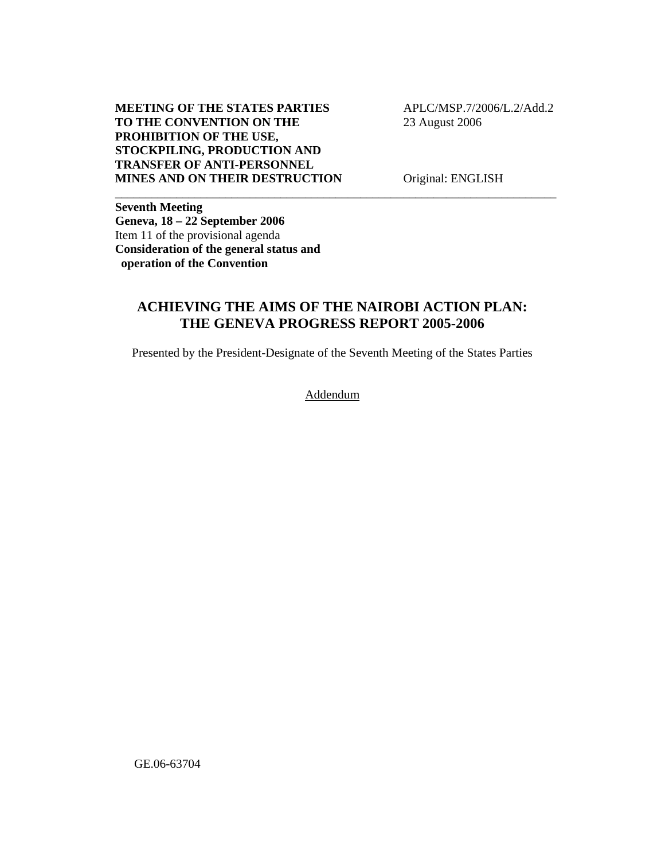### **MEETING OF THE STATES PARTIES TO THE CONVENTION ON THE PROHIBITION OF THE USE, STOCKPILING, PRODUCTION AND TRANSFER OF ANTI-PERSONNEL MINES AND ON THEIR DESTRUCTION**

 APLC/MSP.7/2006/L.2/Add.2 23 August 2006

Original: ENGLISH

**Seventh Meeting Geneva, 18 – 22 September 2006**  Item 11 of the provisional agenda **Consideration of the general status and operation of the Convention** 

# **ACHIEVING THE AIMS OF THE NAIROBI ACTION PLAN: THE GENEVA PROGRESS REPORT 2005-2006**

\_\_\_\_\_\_\_\_\_\_\_\_\_\_\_\_\_\_\_\_\_\_\_\_\_\_\_\_\_\_\_\_\_\_\_\_\_\_\_\_\_\_\_\_\_\_\_\_\_\_\_\_\_\_\_\_\_\_\_\_\_\_\_\_\_\_\_\_\_\_\_\_

Presented by the President-Designate of the Seventh Meeting of the States Parties

Addendum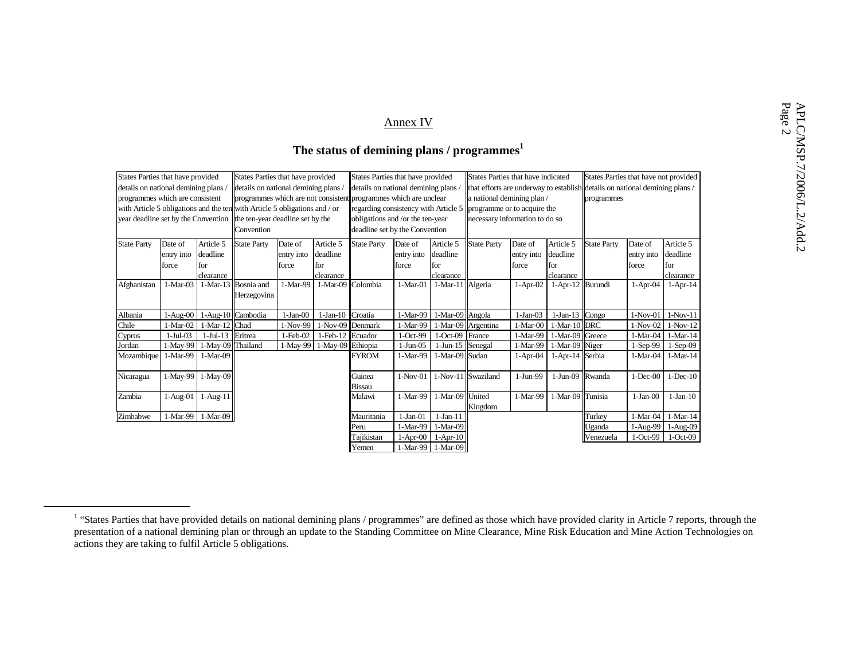|                    |                                                                                                                                                                                                                                                                                                                                                                                                                                 |                                           |                                                                                                                                                                                                                     |                                |                                                                                                                                                                                   |                         | Annex IV                                            |                                           |                                                        |                                |                                           |                    |                                |                                           |  |
|--------------------|---------------------------------------------------------------------------------------------------------------------------------------------------------------------------------------------------------------------------------------------------------------------------------------------------------------------------------------------------------------------------------------------------------------------------------|-------------------------------------------|---------------------------------------------------------------------------------------------------------------------------------------------------------------------------------------------------------------------|--------------------------------|-----------------------------------------------------------------------------------------------------------------------------------------------------------------------------------|-------------------------|-----------------------------------------------------|-------------------------------------------|--------------------------------------------------------|--------------------------------|-------------------------------------------|--------------------|--------------------------------|-------------------------------------------|--|
|                    |                                                                                                                                                                                                                                                                                                                                                                                                                                 |                                           |                                                                                                                                                                                                                     |                                |                                                                                                                                                                                   |                         |                                                     |                                           | The status of demining plans / programmes <sup>1</sup> |                                |                                           |                    |                                |                                           |  |
|                    | States Parties that have provided<br>States Parties that have provided<br>details on national demining plans<br>details on national demining plans /<br>programmes which are consistent<br>programmes which are not consistent programmes which are unclear<br>with Article 5 obligations and the ten with Article 5 obligations and / or<br>year deadline set by the Convention the ten-year deadline set by the<br>Convention |                                           | States Parties that have provided<br>details on national demining plans<br>regarding consistency with Article 5   programme or to acquire the<br>obligations and /or the ten-year<br>deadline set by the Convention |                                | States Parties that have indicated<br>that efforts are underway to establish details on national demining plans /<br>a national demining plan /<br>necessary information to do so |                         | States Parties that have not provided<br>programmes |                                           |                                                        |                                |                                           |                    |                                |                                           |  |
| <b>State Party</b> | Date of<br>entry into<br>force                                                                                                                                                                                                                                                                                                                                                                                                  | Article 5<br>deadline<br>for<br>clearance | <b>State Party</b>                                                                                                                                                                                                  | Date of<br>entry into<br>force | Article 5<br>deadline<br>for<br>clearance                                                                                                                                         | <b>State Party</b>      | Date of<br>entry into<br>force                      | Article 5<br>deadline<br>for<br>clearance | <b>State Party</b>                                     | Date of<br>entry into<br>force | Article 5<br>deadline<br>for<br>clearance | <b>State Party</b> | Date of<br>entry into<br>force | Article 5<br>deadline<br>for<br>clearance |  |
| Afghanistan        | $1-Mar-03$                                                                                                                                                                                                                                                                                                                                                                                                                      |                                           | 1-Mar-13 Bosnia and<br>Herzegovina                                                                                                                                                                                  | 1-Mar-99                       | 1-Mar-09 Colombia                                                                                                                                                                 |                         | $1-Mar-01$                                          | 1-Mar-11 Algeria                          |                                                        | $1-Apr-02$                     | $1-Apr-12$                                | Burundi            | $1-Apr-04$                     | $1-Apr-14$                                |  |
| Albania            |                                                                                                                                                                                                                                                                                                                                                                                                                                 | 1-Aug-00 1-Aug-10 Cambodia                |                                                                                                                                                                                                                     | $1-Jan-00$                     | $1-Jan-10$                                                                                                                                                                        | Croatia                 | 1-Mar-99                                            | 1-Mar-09 Angola                           |                                                        | $1-Jan-03$                     | $1-Jan-13$ Congo                          |                    |                                | 1-Nov-01 1-Nov-11                         |  |
| Chile              | $1-Mar-02$                                                                                                                                                                                                                                                                                                                                                                                                                      | 1-Mar-12 Chad                             |                                                                                                                                                                                                                     | 1-Nov-99                       | 1-Nov-09 Denmark                                                                                                                                                                  |                         | 1-Mar-99                                            |                                           | 1-Mar-09 Argentina                                     | $1-Mar-OC$                     | 1-Mar-10 DRC                              |                    |                                | 1-Nov-02 1-Nov-12                         |  |
| Cyprus             | $1-Jul-03$                                                                                                                                                                                                                                                                                                                                                                                                                      | 1-Jul-13 Eritrea                          |                                                                                                                                                                                                                     | $1-Feb-02$                     | 1-Feb-12 Ecuador                                                                                                                                                                  |                         | 1-Oct-99                                            | 1-Oct-09 France                           |                                                        | 1-Mar-99                       | 1-Mar-09 Greece                           |                    |                                | 1-Mar-04 1-Mar-14                         |  |
| Jordan             | 1-May-99                                                                                                                                                                                                                                                                                                                                                                                                                        | 1-May-09 Thailand                         |                                                                                                                                                                                                                     | 1-May-99                       | 1-May-09 Ethiopia                                                                                                                                                                 |                         | $1-Jun-05$                                          | 1-Jun-15 Senegal                          |                                                        | 1-Mar-99                       | 1-Mar-09 Niger                            |                    | $1-Sep-99$                     | $1-Sep-09$                                |  |
| Mozambique         | 1-Mar-99                                                                                                                                                                                                                                                                                                                                                                                                                        | $1-Mar-09$                                |                                                                                                                                                                                                                     |                                |                                                                                                                                                                                   | FYROM                   | 1-Mar-99                                            | 1-Mar-09 Sudan                            |                                                        | $1-Apr-04$                     | 1-Apr-14 Serbia                           |                    | $1-Mar-04$                     | $1-Mar-14$                                |  |
| Nicaragua          |                                                                                                                                                                                                                                                                                                                                                                                                                                 | 1-May-99 1-May-09                         |                                                                                                                                                                                                                     |                                |                                                                                                                                                                                   | Guinea<br><b>Bissau</b> | $1-Nov-01$                                          |                                           | 1-Nov-11 Swaziland                                     | 1-Jun-99                       | $1-Jun-09$                                | Rwanda             | $1-Dec-00$                     | $1$ -Dec- $10$                            |  |
| Zambia             | $1-Aug-01$                                                                                                                                                                                                                                                                                                                                                                                                                      | $1-Aug-11$                                |                                                                                                                                                                                                                     |                                |                                                                                                                                                                                   | Malawi                  | 1-Mar-99                                            | 1-Mar-09 United                           | Kingdom                                                | 1-Mar-99                       | 1-Mar-09 Tunisia                          |                    | $1-Jan-00$                     | $1-Jan-10$                                |  |
| Zimbabwe           |                                                                                                                                                                                                                                                                                                                                                                                                                                 | 1-Mar-99 1-Mar-09                         |                                                                                                                                                                                                                     |                                |                                                                                                                                                                                   | Mauritania              | $1-Jan-01$                                          | $1-Jan-11$                                |                                                        |                                |                                           | Turkey             |                                | 1-Mar-04 1-Mar-14                         |  |
|                    |                                                                                                                                                                                                                                                                                                                                                                                                                                 |                                           |                                                                                                                                                                                                                     |                                |                                                                                                                                                                                   | Peru                    | 1-Mar-99                                            | 1-Mar-09                                  |                                                        |                                |                                           | Uganda             |                                | 1-Aug-99 1-Aug-09                         |  |
|                    |                                                                                                                                                                                                                                                                                                                                                                                                                                 |                                           |                                                                                                                                                                                                                     |                                |                                                                                                                                                                                   | Tajikistan              | $1-Apr-00$                                          | $1-Apr-10$                                |                                                        |                                |                                           | Venezuela          | $1-Oct-99$                     | $1-Oct-09$                                |  |
|                    |                                                                                                                                                                                                                                                                                                                                                                                                                                 |                                           |                                                                                                                                                                                                                     |                                |                                                                                                                                                                                   | Yemen                   |                                                     | 1-Mar-99 1-Mar-09                         |                                                        |                                |                                           |                    |                                |                                           |  |

<sup>&</sup>lt;sup>1</sup> "States Parties that have provided details on national demining plans / programmes" are defined as those which have provided clarity in Article 7 reports, through the presentation of a national demining plan or through an update to the Standing Committee on Mine Clearance, Mine Risk Education and Mine Action Technologies on actions they are taking to fulfil Article 5 obligations.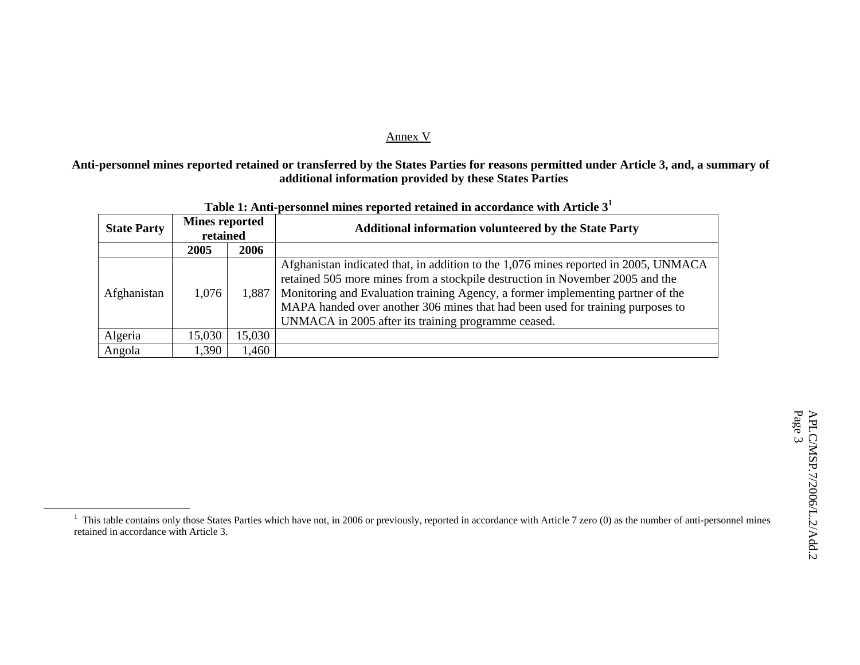#### Annex V

# **Anti-personnel mines reported retained or transferred by the States Parties for reasons permitted under Article 3, and, a summary of additional information provided by these States Parties**

| <b>State Party</b> | <b>Mines reported</b><br>retained |        | <b>Additional information volunteered by the State Party</b>                                                                                                                                                                                                                                                                                                                                             |
|--------------------|-----------------------------------|--------|----------------------------------------------------------------------------------------------------------------------------------------------------------------------------------------------------------------------------------------------------------------------------------------------------------------------------------------------------------------------------------------------------------|
|                    | 2005                              | 2006   |                                                                                                                                                                                                                                                                                                                                                                                                          |
| Afghanistan        | 1,076                             |        | Afghanistan indicated that, in addition to the 1,076 mines reported in 2005, UNMACA<br>retained 505 more mines from a stockpile destruction in November 2005 and the<br>1,887   Monitoring and Evaluation training Agency, a former implementing partner of the<br>MAPA handed over another 306 mines that had been used for training purposes to<br>UNMACA in 2005 after its training programme ceased. |
| Algeria            | 15,030                            | 15,030 |                                                                                                                                                                                                                                                                                                                                                                                                          |
| Angola             | 1,390                             | 1,460  |                                                                                                                                                                                                                                                                                                                                                                                                          |

# **Table 1: Anti-personnel mines reported retained in accordance with Article 3<sup>1</sup>**

<sup>&</sup>lt;sup>1</sup> This table contains only those States Parties which have not, in 2006 or previously, reported in accordance with Article 7 zero (0) as the number of anti-personnel mines retained in accordance with Article 3.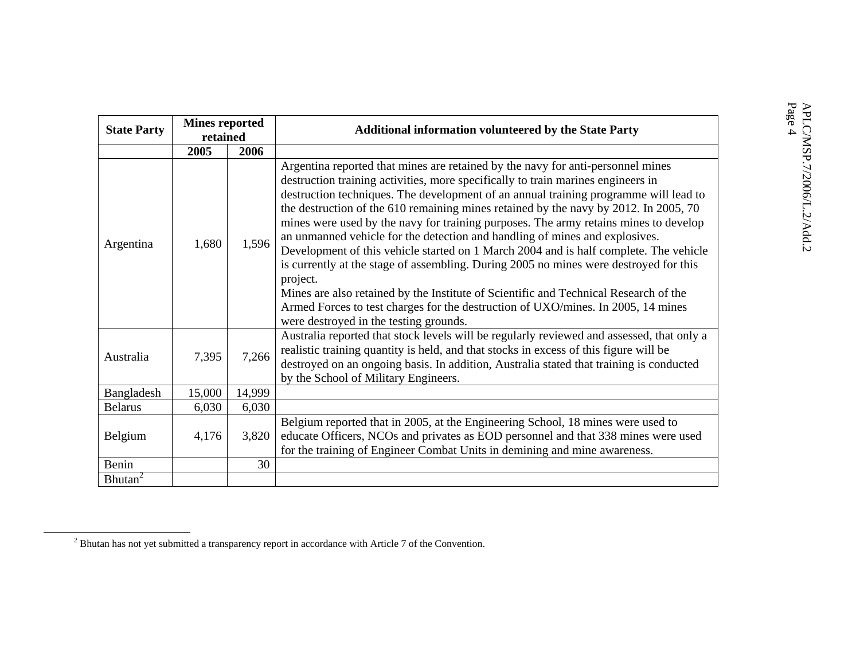| <b>State Party</b>  | <b>Mines reported</b><br>retained |        | <b>Additional information volunteered by the State Party</b>                                                                                                                                                                                                                                                                                                                                                                                                                                                                                                                                                                                                                                                                                                                                                                                                                                                                                   |  |  |
|---------------------|-----------------------------------|--------|------------------------------------------------------------------------------------------------------------------------------------------------------------------------------------------------------------------------------------------------------------------------------------------------------------------------------------------------------------------------------------------------------------------------------------------------------------------------------------------------------------------------------------------------------------------------------------------------------------------------------------------------------------------------------------------------------------------------------------------------------------------------------------------------------------------------------------------------------------------------------------------------------------------------------------------------|--|--|
|                     | 2005                              | 2006   |                                                                                                                                                                                                                                                                                                                                                                                                                                                                                                                                                                                                                                                                                                                                                                                                                                                                                                                                                |  |  |
| Argentina           | 1,680                             | 1,596  | Argentina reported that mines are retained by the navy for anti-personnel mines<br>destruction training activities, more specifically to train marines engineers in<br>destruction techniques. The development of an annual training programme will lead to<br>the destruction of the 610 remaining mines retained by the navy by 2012. In 2005, 70<br>mines were used by the navy for training purposes. The army retains mines to develop<br>an unmanned vehicle for the detection and handling of mines and explosives.<br>Development of this vehicle started on 1 March 2004 and is half complete. The vehicle<br>is currently at the stage of assembling. During 2005 no mines were destroyed for this<br>project.<br>Mines are also retained by the Institute of Scientific and Technical Research of the<br>Armed Forces to test charges for the destruction of UXO/mines. In 2005, 14 mines<br>were destroyed in the testing grounds. |  |  |
| Australia           | 7,395                             | 7,266  | Australia reported that stock levels will be regularly reviewed and assessed, that only a<br>realistic training quantity is held, and that stocks in excess of this figure will be<br>destroyed on an ongoing basis. In addition, Australia stated that training is conducted<br>by the School of Military Engineers.                                                                                                                                                                                                                                                                                                                                                                                                                                                                                                                                                                                                                          |  |  |
| Bangladesh          | 15,000                            | 14,999 |                                                                                                                                                                                                                                                                                                                                                                                                                                                                                                                                                                                                                                                                                                                                                                                                                                                                                                                                                |  |  |
| <b>Belarus</b>      | 6,030                             | 6,030  |                                                                                                                                                                                                                                                                                                                                                                                                                                                                                                                                                                                                                                                                                                                                                                                                                                                                                                                                                |  |  |
| Belgium             | 4,176                             | 3,820  | Belgium reported that in 2005, at the Engineering School, 18 mines were used to<br>educate Officers, NCOs and privates as EOD personnel and that 338 mines were used<br>for the training of Engineer Combat Units in demining and mine awareness.                                                                                                                                                                                                                                                                                                                                                                                                                                                                                                                                                                                                                                                                                              |  |  |
| Benin               |                                   | 30     |                                                                                                                                                                                                                                                                                                                                                                                                                                                                                                                                                                                                                                                                                                                                                                                                                                                                                                                                                |  |  |
| Bhutan <sup>2</sup> |                                   |        |                                                                                                                                                                                                                                                                                                                                                                                                                                                                                                                                                                                                                                                                                                                                                                                                                                                                                                                                                |  |  |

 $2$  Bhutan has not yet submitted a transparency report in accordance with Article 7 of the Convention.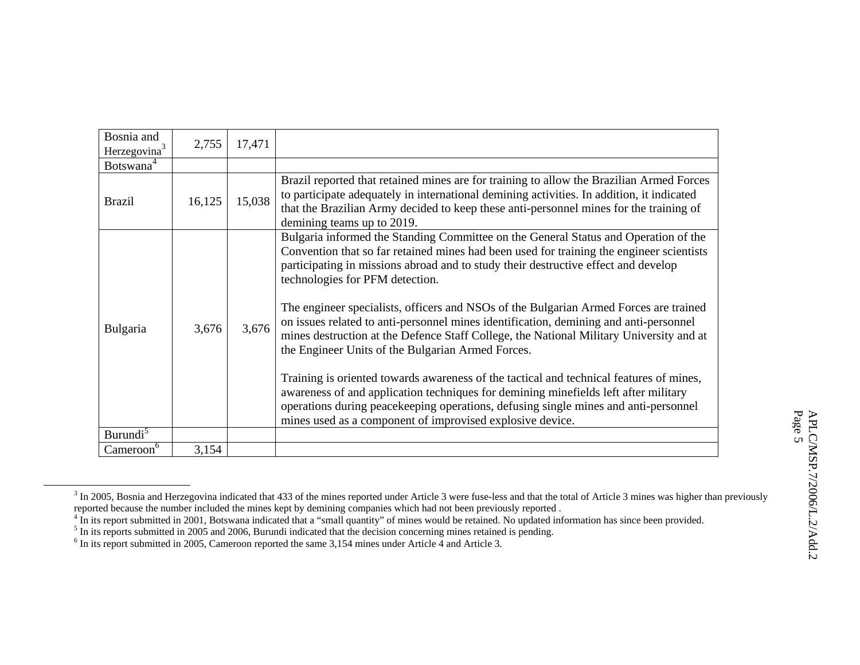| Bosnia and               | 2,755  | 17,471 |                                                                                                                                                                                                                                                                                                                                                                                                                                                                                                                                                                                                                                                                                                                                                                                                                                                                                                                                                                                  |
|--------------------------|--------|--------|----------------------------------------------------------------------------------------------------------------------------------------------------------------------------------------------------------------------------------------------------------------------------------------------------------------------------------------------------------------------------------------------------------------------------------------------------------------------------------------------------------------------------------------------------------------------------------------------------------------------------------------------------------------------------------------------------------------------------------------------------------------------------------------------------------------------------------------------------------------------------------------------------------------------------------------------------------------------------------|
| Herzegovina <sup>3</sup> |        |        |                                                                                                                                                                                                                                                                                                                                                                                                                                                                                                                                                                                                                                                                                                                                                                                                                                                                                                                                                                                  |
| Botswana <sup>4</sup>    |        |        |                                                                                                                                                                                                                                                                                                                                                                                                                                                                                                                                                                                                                                                                                                                                                                                                                                                                                                                                                                                  |
| <b>Brazil</b>            | 16,125 | 15,038 | Brazil reported that retained mines are for training to allow the Brazilian Armed Forces<br>to participate adequately in international demining activities. In addition, it indicated<br>that the Brazilian Army decided to keep these anti-personnel mines for the training of<br>demining teams up to 2019.                                                                                                                                                                                                                                                                                                                                                                                                                                                                                                                                                                                                                                                                    |
| Bulgaria                 | 3,676  | 3,676  | Bulgaria informed the Standing Committee on the General Status and Operation of the<br>Convention that so far retained mines had been used for training the engineer scientists<br>participating in missions abroad and to study their destructive effect and develop<br>technologies for PFM detection.<br>The engineer specialists, officers and NSOs of the Bulgarian Armed Forces are trained<br>on issues related to anti-personnel mines identification, demining and anti-personnel<br>mines destruction at the Defence Staff College, the National Military University and at<br>the Engineer Units of the Bulgarian Armed Forces.<br>Training is oriented towards awareness of the tactical and technical features of mines,<br>awareness of and application techniques for demining minefields left after military<br>operations during peacekeeping operations, defusing single mines and anti-personnel<br>mines used as a component of improvised explosive device. |
| Burundi <sup>5</sup>     |        |        |                                                                                                                                                                                                                                                                                                                                                                                                                                                                                                                                                                                                                                                                                                                                                                                                                                                                                                                                                                                  |
| Cameroon <sup>6</sup>    | 3,154  |        |                                                                                                                                                                                                                                                                                                                                                                                                                                                                                                                                                                                                                                                                                                                                                                                                                                                                                                                                                                                  |

<sup>&</sup>lt;sup>3</sup> In 2005, Bosnia and Herzegovina indicated that 433 of the mines reported under Article 3 were fuse-less and that the total of Article 3 mines was higher than previously reported because the number included the mines kept by demining companies which had not been previously reported .

<sup>&</sup>lt;sup>4</sup> In its report submitted in 2001, Botswana indicated that a "small quantity" of mines would be retained. No updated information has since been provided.

<sup>&</sup>lt;sup>5</sup> In its reports submitted in 2005 and 2006, Burundi indicated that the decision concerning mines retained is pending.

<sup>&</sup>lt;sup>6</sup> In its report submitted in 2005, Cameroon reported the same 3,154 mines under Article 4 and Article 3.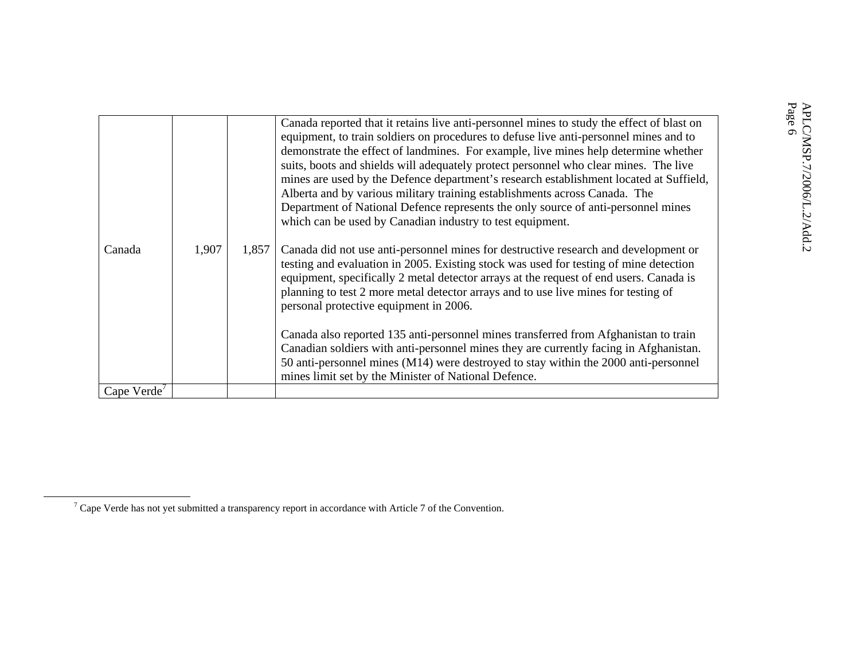| Canada      | 1,907 | 1,857 | Canada reported that it retains live anti-personnel mines to study the effect of blast on<br>equipment, to train soldiers on procedures to defuse live anti-personnel mines and to<br>demonstrate the effect of landmines. For example, live mines help determine whether<br>suits, boots and shields will adequately protect personnel who clear mines. The live<br>mines are used by the Defence department's research establishment located at Suffield,<br>Alberta and by various military training establishments across Canada. The<br>Department of National Defence represents the only source of anti-personnel mines<br>which can be used by Canadian industry to test equipment.<br>Canada did not use anti-personnel mines for destructive research and development or<br>testing and evaluation in 2005. Existing stock was used for testing of mine detection<br>equipment, specifically 2 metal detector arrays at the request of end users. Canada is<br>planning to test 2 more metal detector arrays and to use live mines for testing of<br>personal protective equipment in 2006.<br>Canada also reported 135 anti-personnel mines transferred from Afghanistan to train<br>Canadian soldiers with anti-personnel mines they are currently facing in Afghanistan.<br>50 anti-personnel mines (M14) were destroyed to stay within the 2000 anti-personnel<br>mines limit set by the Minister of National Defence. | APLC/<br>Page 6<br>C/MSP.7/2006/L.2/Add.2 |
|-------------|-------|-------|--------------------------------------------------------------------------------------------------------------------------------------------------------------------------------------------------------------------------------------------------------------------------------------------------------------------------------------------------------------------------------------------------------------------------------------------------------------------------------------------------------------------------------------------------------------------------------------------------------------------------------------------------------------------------------------------------------------------------------------------------------------------------------------------------------------------------------------------------------------------------------------------------------------------------------------------------------------------------------------------------------------------------------------------------------------------------------------------------------------------------------------------------------------------------------------------------------------------------------------------------------------------------------------------------------------------------------------------------------------------------------------------------------------------------------------|-------------------------------------------|
| Cape Verde' |       |       |                                                                                                                                                                                                                                                                                                                                                                                                                                                                                                                                                                                                                                                                                                                                                                                                                                                                                                                                                                                                                                                                                                                                                                                                                                                                                                                                                                                                                                      |                                           |

<sup>7</sup> Cape Verde has not yet submitted a transparency report in accordance with Article 7 of the Convention.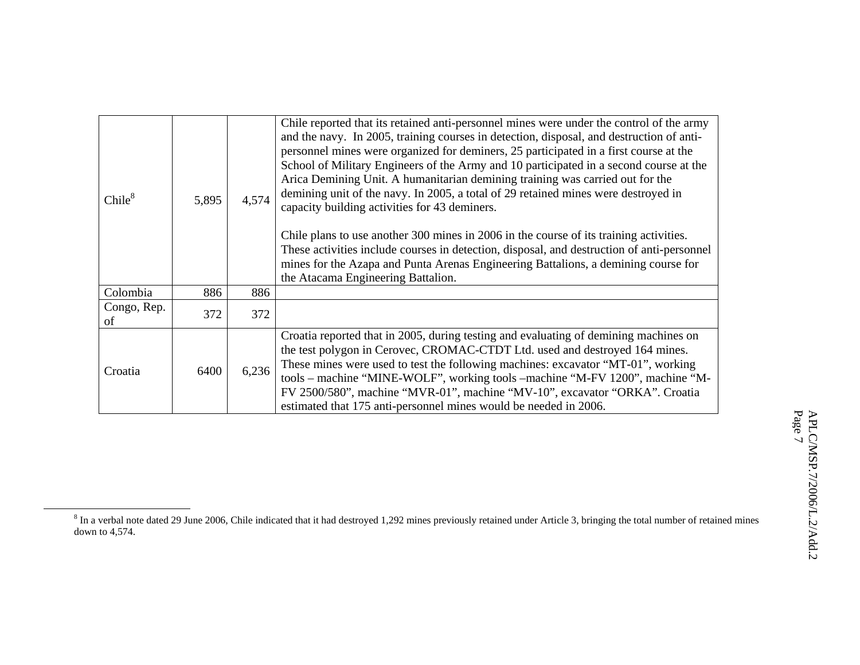| Chile <sup>8</sup> | 5,895 | 4,574 | Chile reported that its retained anti-personnel mines were under the control of the army<br>and the navy. In 2005, training courses in detection, disposal, and destruction of anti-<br>personnel mines were organized for deminers, 25 participated in a first course at the<br>School of Military Engineers of the Army and 10 participated in a second course at the<br>Arica Demining Unit. A humanitarian demining training was carried out for the<br>demining unit of the navy. In 2005, a total of 29 retained mines were destroyed in<br>capacity building activities for 43 deminers.<br>Chile plans to use another 300 mines in 2006 in the course of its training activities.<br>These activities include courses in detection, disposal, and destruction of anti-personnel<br>mines for the Azapa and Punta Arenas Engineering Battalions, a demining course for<br>the Atacama Engineering Battalion. |
|--------------------|-------|-------|---------------------------------------------------------------------------------------------------------------------------------------------------------------------------------------------------------------------------------------------------------------------------------------------------------------------------------------------------------------------------------------------------------------------------------------------------------------------------------------------------------------------------------------------------------------------------------------------------------------------------------------------------------------------------------------------------------------------------------------------------------------------------------------------------------------------------------------------------------------------------------------------------------------------|
| Colombia           | 886   | 886   |                                                                                                                                                                                                                                                                                                                                                                                                                                                                                                                                                                                                                                                                                                                                                                                                                                                                                                                     |
| Congo, Rep.<br>of  | 372   | 372   |                                                                                                                                                                                                                                                                                                                                                                                                                                                                                                                                                                                                                                                                                                                                                                                                                                                                                                                     |
| Croatia            | 6400  | 6,236 | Croatia reported that in 2005, during testing and evaluating of demining machines on<br>the test polygon in Cerovec, CROMAC-CTDT Ltd. used and destroyed 164 mines.<br>These mines were used to test the following machines: excavator "MT-01", working<br>tools - machine "MINE-WOLF", working tools - machine "M-FV 1200", machine "M-<br>FV 2500/580", machine "MVR-01", machine "MV-10", excavator "ORKA". Croatia<br>estimated that 175 anti-personnel mines would be needed in 2006.                                                                                                                                                                                                                                                                                                                                                                                                                          |

 $8$  In a verbal note dated 29 June 2006, Chile indicated that it had destroyed 1,292 mines previously retained under Article 3, bringing the total number of retained mines down to 4,574.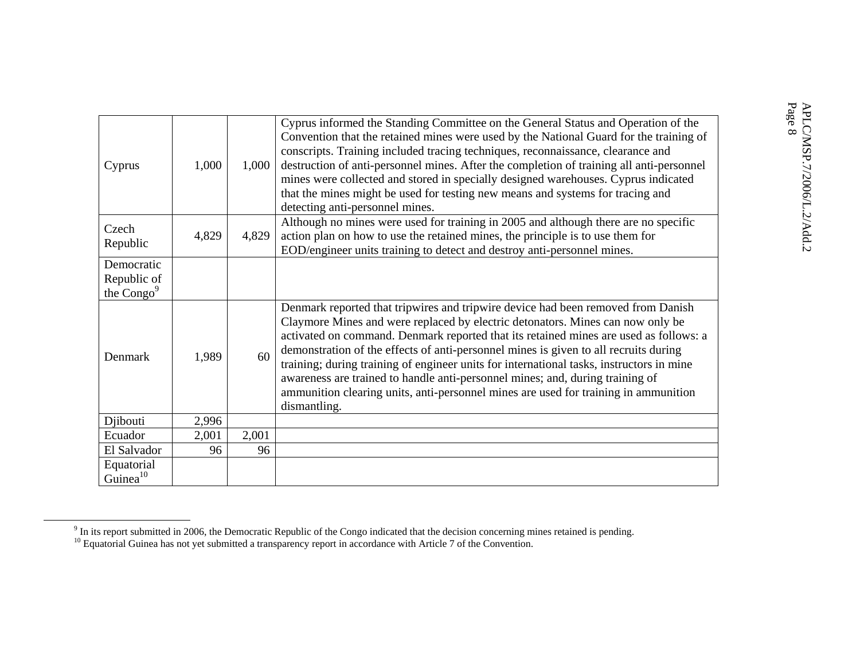| Cyprus                                    | 1,000 | 1,000 | Cyprus informed the Standing Committee on the General Status and Operation of the<br>Convention that the retained mines were used by the National Guard for the training of<br>conscripts. Training included tracing techniques, reconnaissance, clearance and<br>destruction of anti-personnel mines. After the completion of training all anti-personnel<br>mines were collected and stored in specially designed warehouses. Cyprus indicated<br>that the mines might be used for testing new means and systems for tracing and<br>detecting anti-personnel mines.                                                                   |
|-------------------------------------------|-------|-------|-----------------------------------------------------------------------------------------------------------------------------------------------------------------------------------------------------------------------------------------------------------------------------------------------------------------------------------------------------------------------------------------------------------------------------------------------------------------------------------------------------------------------------------------------------------------------------------------------------------------------------------------|
| Czech<br>Republic                         | 4,829 | 4,829 | Although no mines were used for training in 2005 and although there are no specific<br>action plan on how to use the retained mines, the principle is to use them for<br>EOD/engineer units training to detect and destroy anti-personnel mines.                                                                                                                                                                                                                                                                                                                                                                                        |
| Democratic<br>Republic of<br>the $Congo9$ |       |       |                                                                                                                                                                                                                                                                                                                                                                                                                                                                                                                                                                                                                                         |
| Denmark                                   | 1,989 | 60    | Denmark reported that tripwires and tripwire device had been removed from Danish<br>Claymore Mines and were replaced by electric detonators. Mines can now only be<br>activated on command. Denmark reported that its retained mines are used as follows: a<br>demonstration of the effects of anti-personnel mines is given to all recruits during<br>training; during training of engineer units for international tasks, instructors in mine<br>awareness are trained to handle anti-personnel mines; and, during training of<br>ammunition clearing units, anti-personnel mines are used for training in ammunition<br>dismantling. |
| Djibouti                                  | 2,996 |       |                                                                                                                                                                                                                                                                                                                                                                                                                                                                                                                                                                                                                                         |
| Ecuador                                   | 2,001 | 2,001 |                                                                                                                                                                                                                                                                                                                                                                                                                                                                                                                                                                                                                                         |
| El Salvador                               | 96    | 96    |                                                                                                                                                                                                                                                                                                                                                                                                                                                                                                                                                                                                                                         |
| Equatorial<br>Guinea <sup>10</sup>        |       |       |                                                                                                                                                                                                                                                                                                                                                                                                                                                                                                                                                                                                                                         |

 $9 \text{ In its report submitted in 2006, the Democratic Republic of the Congo indicated that the decision concerning mines retained is pending.}$ 

 $10$  Equatorial Guinea has not yet submitted a transparency report in accordance with Article 7 of the Convention.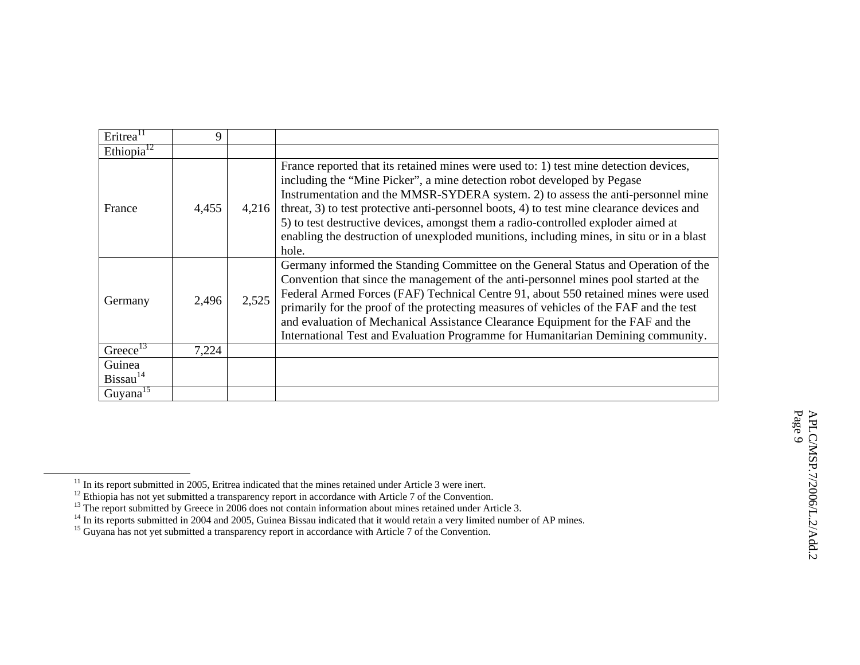| Eritrea <sup>11</sup>          | 9     |       |                                                                                                                                                                                                                                                                                                                                                                                                                                                                                                                                             |
|--------------------------------|-------|-------|---------------------------------------------------------------------------------------------------------------------------------------------------------------------------------------------------------------------------------------------------------------------------------------------------------------------------------------------------------------------------------------------------------------------------------------------------------------------------------------------------------------------------------------------|
| Ethiopia <sup>12</sup>         |       |       |                                                                                                                                                                                                                                                                                                                                                                                                                                                                                                                                             |
| France                         | 4,455 | 4,216 | France reported that its retained mines were used to: 1) test mine detection devices,<br>including the "Mine Picker", a mine detection robot developed by Pegase<br>Instrumentation and the MMSR-SYDERA system. 2) to assess the anti-personnel mine<br>threat, 3) to test protective anti-personnel boots, 4) to test mine clearance devices and<br>5) to test destructive devices, amongst them a radio-controlled exploder aimed at<br>enabling the destruction of unexploded munitions, including mines, in situ or in a blast<br>hole. |
| Germany                        | 2,496 | 2,525 | Germany informed the Standing Committee on the General Status and Operation of the<br>Convention that since the management of the anti-personnel mines pool started at the<br>Federal Armed Forces (FAF) Technical Centre 91, about 550 retained mines were used<br>primarily for the proof of the protecting measures of vehicles of the FAF and the test<br>and evaluation of Mechanical Assistance Clearance Equipment for the FAF and the<br>International Test and Evaluation Programme for Humanitarian Demining community.           |
| Greece $^{13}$                 | 7,224 |       |                                                                                                                                                                                                                                                                                                                                                                                                                                                                                                                                             |
| Guinea<br>Bissau <sup>14</sup> |       |       |                                                                                                                                                                                                                                                                                                                                                                                                                                                                                                                                             |
| Guyana <sup>15</sup>           |       |       |                                                                                                                                                                                                                                                                                                                                                                                                                                                                                                                                             |

 $11$  In its report submitted in 2005, Eritrea indicated that the mines retained under Article 3 were inert.

 $12$  Ethiopia has not yet submitted a transparency report in accordance with Article 7 of the Convention.

<sup>&</sup>lt;sup>13</sup> The report submitted by Greece in 2006 does not contain information about mines retained under Article 3.

<sup>&</sup>lt;sup>14</sup> In its reports submitted in 2004 and 2005, Guinea Bissau indicated that it would retain a very limited number of AP mines.

 $15$  Guyana has not yet submitted a transparency report in accordance with Article 7 of the Convention.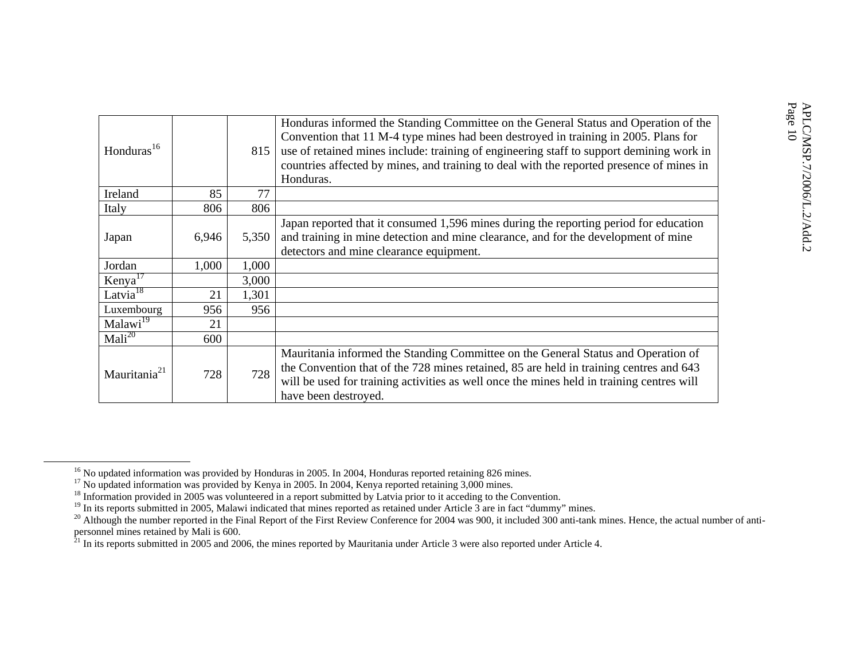| Honduras <sup>16</sup>        |       | 815   | Honduras informed the Standing Committee on the General Status and Operation of the<br>Convention that 11 M-4 type mines had been destroyed in training in 2005. Plans for<br>use of retained mines include: training of engineering staff to support demining work in<br>countries affected by mines, and training to deal with the reported presence of mines in<br>Honduras. |
|-------------------------------|-------|-------|---------------------------------------------------------------------------------------------------------------------------------------------------------------------------------------------------------------------------------------------------------------------------------------------------------------------------------------------------------------------------------|
| Ireland                       | 85    | 77    |                                                                                                                                                                                                                                                                                                                                                                                 |
| Italy                         | 806   | 806   |                                                                                                                                                                                                                                                                                                                                                                                 |
| Japan                         | 6,946 | 5,350 | Japan reported that it consumed 1,596 mines during the reporting period for education<br>and training in mine detection and mine clearance, and for the development of mine<br>detectors and mine clearance equipment.                                                                                                                                                          |
| Jordan                        | 1,000 | 1,000 |                                                                                                                                                                                                                                                                                                                                                                                 |
| Kenya <sup>17</sup>           |       | 3,000 |                                                                                                                                                                                                                                                                                                                                                                                 |
| Latvia <sup>18</sup>          | 21    | 1,301 |                                                                                                                                                                                                                                                                                                                                                                                 |
| Luxembourg                    | 956   | 956   |                                                                                                                                                                                                                                                                                                                                                                                 |
| Malawi <sup>19</sup>          | 21    |       |                                                                                                                                                                                                                                                                                                                                                                                 |
| $\overline{\text{Mali}^{20}}$ | 600   |       |                                                                                                                                                                                                                                                                                                                                                                                 |
| Mauritania <sup>21</sup>      | 728   | 728   | Mauritania informed the Standing Committee on the General Status and Operation of<br>the Convention that of the 728 mines retained, 85 are held in training centres and 643<br>will be used for training activities as well once the mines held in training centres will<br>have been destroyed.                                                                                |

<sup>&</sup>lt;sup>16</sup> No updated information was provided by Honduras in 2005. In 2004, Honduras reported retaining 826 mines.

<sup>&</sup>lt;sup>17</sup> No updated information was provided by Kenya in 2005. In 2004, Kenya reported retaining 3,000 mines.

<sup>&</sup>lt;sup>18</sup> Information provided in 2005 was volunteered in a report submitted by Latvia prior to it acceding to the Convention.

<sup>&</sup>lt;sup>19</sup> In its reports submitted in 2005, Malawi indicated that mines reported as retained under Article 3 are in fact "dummy" mines.

 $^{20}$  Although the number reported in the Final Report of the First Review Conference for 2004 was 900, it included 300 anti-tank mines. Hence, the actual number of antipersonnel mines retained by Mali is 600.

In its reports submitted in 2005 and 2006, the mines reported by Mauritania under Article 3 were also reported under Article 4.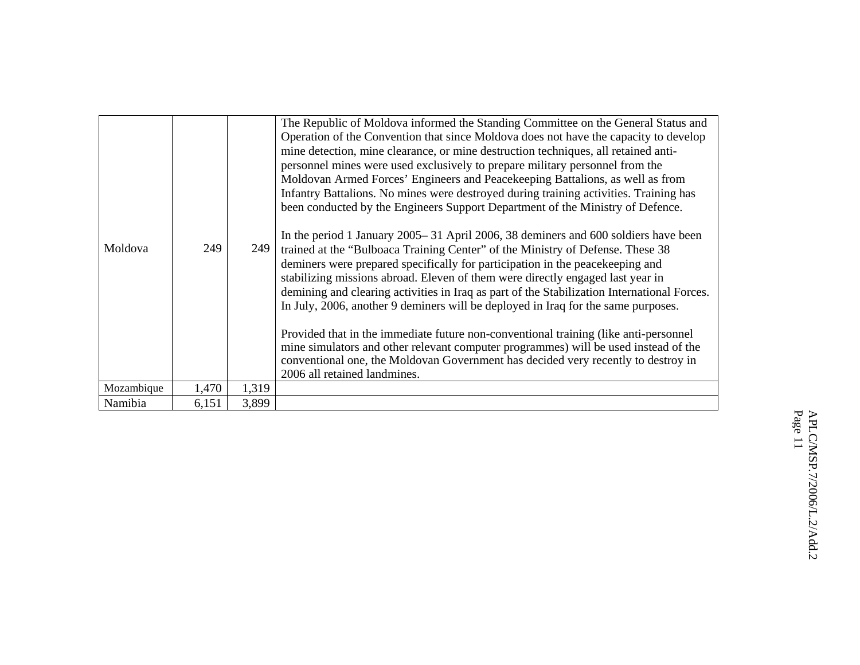| Moldova    | 249   | 249   | The Republic of Moldova informed the Standing Committee on the General Status and<br>Operation of the Convention that since Moldova does not have the capacity to develop<br>mine detection, mine clearance, or mine destruction techniques, all retained anti-<br>personnel mines were used exclusively to prepare military personnel from the<br>Moldovan Armed Forces' Engineers and Peacekeeping Battalions, as well as from<br>Infantry Battalions. No mines were destroyed during training activities. Training has<br>been conducted by the Engineers Support Department of the Ministry of Defence.<br>In the period 1 January 2005–31 April 2006, 38 deminers and 600 soldiers have been<br>trained at the "Bulboaca Training Center" of the Ministry of Defense. These 38<br>deminers were prepared specifically for participation in the peacekeeping and<br>stabilizing missions abroad. Eleven of them were directly engaged last year in<br>demining and clearing activities in Iraq as part of the Stabilization International Forces.<br>In July, 2006, another 9 deminers will be deployed in Iraq for the same purposes.<br>Provided that in the immediate future non-conventional training (like anti-personnel<br>mine simulators and other relevant computer programmes) will be used instead of the<br>conventional one, the Moldovan Government has decided very recently to destroy in<br>2006 all retained landmines. |
|------------|-------|-------|------------------------------------------------------------------------------------------------------------------------------------------------------------------------------------------------------------------------------------------------------------------------------------------------------------------------------------------------------------------------------------------------------------------------------------------------------------------------------------------------------------------------------------------------------------------------------------------------------------------------------------------------------------------------------------------------------------------------------------------------------------------------------------------------------------------------------------------------------------------------------------------------------------------------------------------------------------------------------------------------------------------------------------------------------------------------------------------------------------------------------------------------------------------------------------------------------------------------------------------------------------------------------------------------------------------------------------------------------------------------------------------------------------------------------------------------|
| Mozambique | 1,470 | 1,319 |                                                                                                                                                                                                                                                                                                                                                                                                                                                                                                                                                                                                                                                                                                                                                                                                                                                                                                                                                                                                                                                                                                                                                                                                                                                                                                                                                                                                                                                |
| Namibia    | 6,151 | 3,899 |                                                                                                                                                                                                                                                                                                                                                                                                                                                                                                                                                                                                                                                                                                                                                                                                                                                                                                                                                                                                                                                                                                                                                                                                                                                                                                                                                                                                                                                |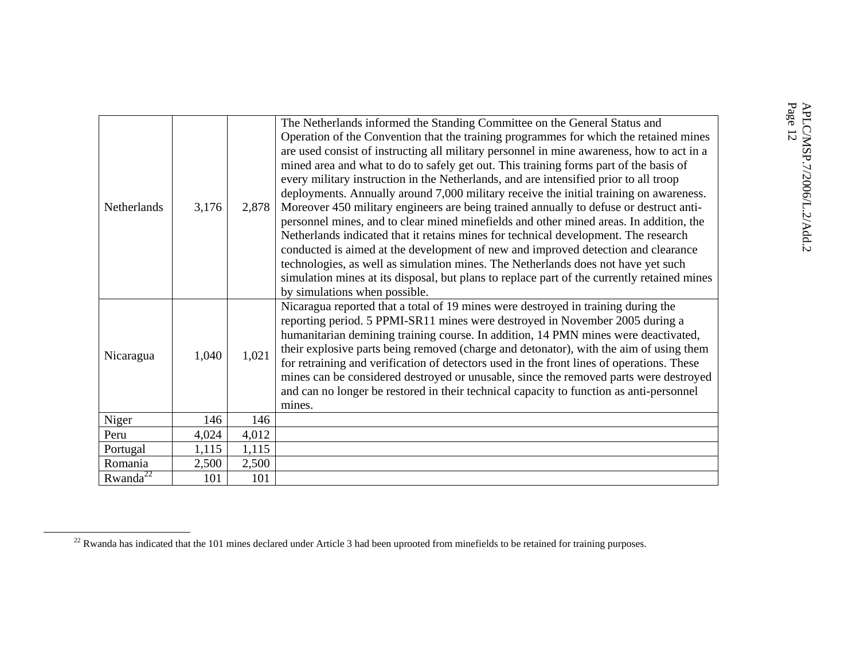| Netherlands          | 3,176 | 2,878 | The Netherlands informed the Standing Committee on the General Status and<br>Operation of the Convention that the training programmes for which the retained mines<br>are used consist of instructing all military personnel in mine awareness, how to act in a<br>mined area and what to do to safely get out. This training forms part of the basis of<br>every military instruction in the Netherlands, and are intensified prior to all troop<br>deployments. Annually around 7,000 military receive the initial training on awareness.<br>Moreover 450 military engineers are being trained annually to defuse or destruct anti-<br>personnel mines, and to clear mined minefields and other mined areas. In addition, the<br>Netherlands indicated that it retains mines for technical development. The research<br>conducted is aimed at the development of new and improved detection and clearance<br>technologies, as well as simulation mines. The Netherlands does not have yet such<br>simulation mines at its disposal, but plans to replace part of the currently retained mines<br>by simulations when possible. |
|----------------------|-------|-------|----------------------------------------------------------------------------------------------------------------------------------------------------------------------------------------------------------------------------------------------------------------------------------------------------------------------------------------------------------------------------------------------------------------------------------------------------------------------------------------------------------------------------------------------------------------------------------------------------------------------------------------------------------------------------------------------------------------------------------------------------------------------------------------------------------------------------------------------------------------------------------------------------------------------------------------------------------------------------------------------------------------------------------------------------------------------------------------------------------------------------------|
| Nicaragua            | 1,040 | 1,021 | Nicaragua reported that a total of 19 mines were destroyed in training during the<br>reporting period. 5 PPMI-SR11 mines were destroyed in November 2005 during a<br>humanitarian demining training course. In addition, 14 PMN mines were deactivated,<br>their explosive parts being removed (charge and detonator), with the aim of using them<br>for retraining and verification of detectors used in the front lines of operations. These<br>mines can be considered destroyed or unusable, since the removed parts were destroyed<br>and can no longer be restored in their technical capacity to function as anti-personnel<br>mines.                                                                                                                                                                                                                                                                                                                                                                                                                                                                                     |
| Niger                | 146   | 146   |                                                                                                                                                                                                                                                                                                                                                                                                                                                                                                                                                                                                                                                                                                                                                                                                                                                                                                                                                                                                                                                                                                                                  |
| Peru                 | 4,024 | 4,012 |                                                                                                                                                                                                                                                                                                                                                                                                                                                                                                                                                                                                                                                                                                                                                                                                                                                                                                                                                                                                                                                                                                                                  |
| Portugal             | 1,115 | 1,115 |                                                                                                                                                                                                                                                                                                                                                                                                                                                                                                                                                                                                                                                                                                                                                                                                                                                                                                                                                                                                                                                                                                                                  |
| Romania              | 2,500 | 2,500 |                                                                                                                                                                                                                                                                                                                                                                                                                                                                                                                                                                                                                                                                                                                                                                                                                                                                                                                                                                                                                                                                                                                                  |
| Rwanda <sup>22</sup> | 101   | 101   |                                                                                                                                                                                                                                                                                                                                                                                                                                                                                                                                                                                                                                                                                                                                                                                                                                                                                                                                                                                                                                                                                                                                  |

 $\frac{22}{2}$  Rwanda has indicated that the 101 mines declared under Article 3 had been uprooted from minefields to be retained for training purposes.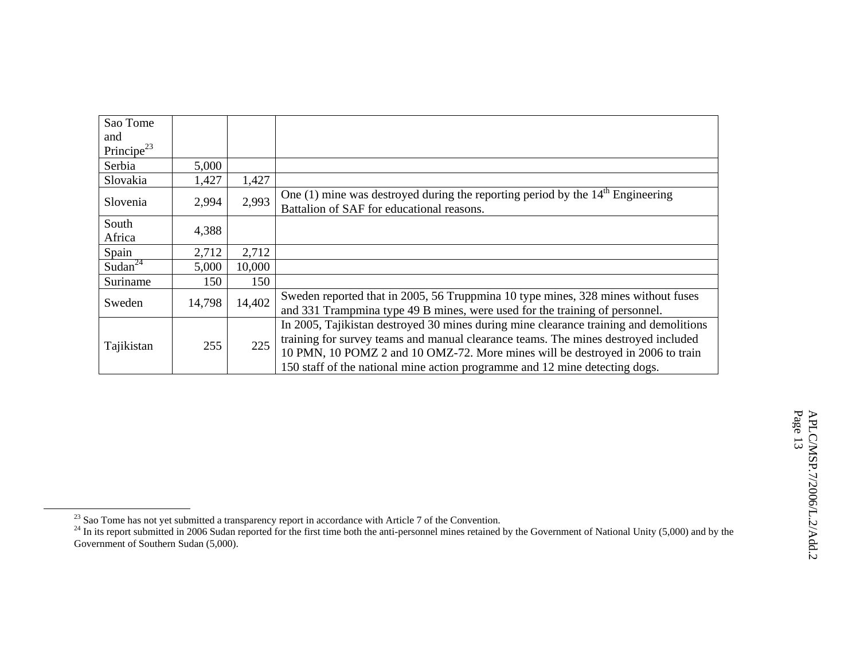| Sao Tome               |        |        |                                                                                       |
|------------------------|--------|--------|---------------------------------------------------------------------------------------|
| and                    |        |        |                                                                                       |
| Principe <sup>23</sup> |        |        |                                                                                       |
| Serbia                 | 5,000  |        |                                                                                       |
| Slovakia               | 1,427  | 1,427  |                                                                                       |
|                        | 2,994  | 2,993  | One (1) mine was destroyed during the reporting period by the $14th$ Engineering      |
| Slovenia               |        |        | Battalion of SAF for educational reasons.                                             |
| South                  | 4,388  |        |                                                                                       |
| Africa                 |        |        |                                                                                       |
| Spain                  | 2,712  | 2,712  |                                                                                       |
| Sudan <sup>24</sup>    | 5,000  | 10,000 |                                                                                       |
| Suriname               | 150    | 150    |                                                                                       |
| Sweden                 | 14,798 | 14,402 | Sweden reported that in 2005, 56 Truppmina 10 type mines, 328 mines without fuses     |
|                        |        |        | and 331 Trampmina type 49 B mines, were used for the training of personnel.           |
|                        |        |        | In 2005, Tajikistan destroyed 30 mines during mine clearance training and demolitions |
|                        |        |        | training for survey teams and manual clearance teams. The mines destroyed included    |
| Tajikistan             | 255    | 225    | 10 PMN, 10 POMZ 2 and 10 OMZ-72. More mines will be destroyed in 2006 to train        |
|                        |        |        | 150 staff of the national mine action programme and 12 mine detecting dogs.           |

 $2<sup>23</sup>$  Sao Tome has not yet submitted a transparency report in accordance with Article 7 of the Convention.

 $^{24}$  In its report submitted in 2006 Sudan reported for the first time both the anti-personnel mines retained by the Government of National Unity (5,000) and by the Government of Southern Sudan (5,000).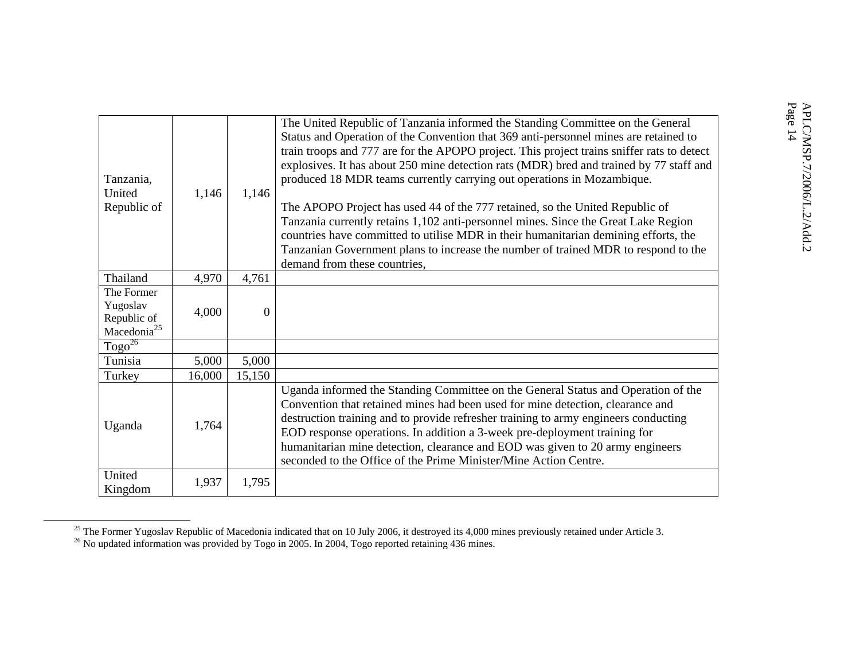| Tanzania,<br>United<br>Republic of                               | 1,146  | 1,146    | The United Republic of Tanzania informed the Standing Committee on the General<br>Status and Operation of the Convention that 369 anti-personnel mines are retained to<br>train troops and 777 are for the APOPO project. This project trains sniffer rats to detect<br>explosives. It has about 250 mine detection rats (MDR) bred and trained by 77 staff and<br>produced 18 MDR teams currently carrying out operations in Mozambique.<br>The APOPO Project has used 44 of the 777 retained, so the United Republic of<br>Tanzania currently retains 1,102 anti-personnel mines. Since the Great Lake Region<br>countries have committed to utilise MDR in their humanitarian demining efforts, the<br>Tanzanian Government plans to increase the number of trained MDR to respond to the<br>demand from these countries, |
|------------------------------------------------------------------|--------|----------|------------------------------------------------------------------------------------------------------------------------------------------------------------------------------------------------------------------------------------------------------------------------------------------------------------------------------------------------------------------------------------------------------------------------------------------------------------------------------------------------------------------------------------------------------------------------------------------------------------------------------------------------------------------------------------------------------------------------------------------------------------------------------------------------------------------------------|
| Thailand                                                         | 4,970  | 4,761    |                                                                                                                                                                                                                                                                                                                                                                                                                                                                                                                                                                                                                                                                                                                                                                                                                              |
| The Former<br>Yugoslav<br>Republic of<br>Macedonia <sup>25</sup> | 4,000  | $\theta$ |                                                                                                                                                                                                                                                                                                                                                                                                                                                                                                                                                                                                                                                                                                                                                                                                                              |
| Togo <sup>26</sup>                                               |        |          |                                                                                                                                                                                                                                                                                                                                                                                                                                                                                                                                                                                                                                                                                                                                                                                                                              |
| Tunisia                                                          | 5,000  | 5,000    |                                                                                                                                                                                                                                                                                                                                                                                                                                                                                                                                                                                                                                                                                                                                                                                                                              |
| Turkey                                                           | 16,000 | 15,150   |                                                                                                                                                                                                                                                                                                                                                                                                                                                                                                                                                                                                                                                                                                                                                                                                                              |
| Uganda                                                           | 1,764  |          | Uganda informed the Standing Committee on the General Status and Operation of the<br>Convention that retained mines had been used for mine detection, clearance and<br>destruction training and to provide refresher training to army engineers conducting<br>EOD response operations. In addition a 3-week pre-deployment training for<br>humanitarian mine detection, clearance and EOD was given to 20 army engineers<br>seconded to the Office of the Prime Minister/Mine Action Centre.                                                                                                                                                                                                                                                                                                                                 |
| United<br>Kingdom                                                | 1,937  | 1,795    |                                                                                                                                                                                                                                                                                                                                                                                                                                                                                                                                                                                                                                                                                                                                                                                                                              |

<sup>&</sup>lt;sup>25</sup> The Former Yugoslav Republic of Macedonia indicated that on 10 July 2006, it destroyed its 4,000 mines previously retained under Article 3.

<sup>&</sup>lt;sup>26</sup> No updated information was provided by Togo in 2005. In 2004, Togo reported retaining 436 mines.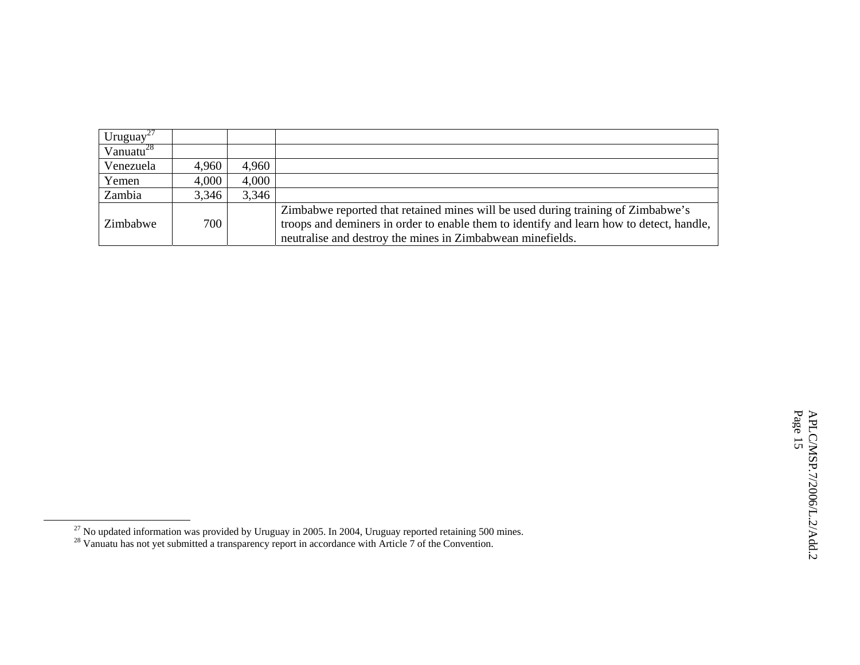| Uruguay <sup>-</sup> |       |       |                                                                                          |
|----------------------|-------|-------|------------------------------------------------------------------------------------------|
| Vanuatu $^{28}$      |       |       |                                                                                          |
| Venezuela            | 4,960 | 4,960 |                                                                                          |
| Yemen                | 4,000 | 4,000 |                                                                                          |
| Zambia               | 3,346 | 3,346 |                                                                                          |
|                      |       |       | Zimbabwe reported that retained mines will be used during training of Zimbabwe's         |
| Zimbabwe             | 700   |       | troops and deminers in order to enable them to identify and learn how to detect, handle, |
|                      |       |       | neutralise and destroy the mines in Zimbabwean minefields.                               |

 $^{27}$  No updated information was provided by Uruguay in 2005. In 2004, Uruguay reported retaining 500 mines.

 $2<sup>28</sup>$  Vanuatu has not yet submitted a transparency report in accordance with Article 7 of the Convention.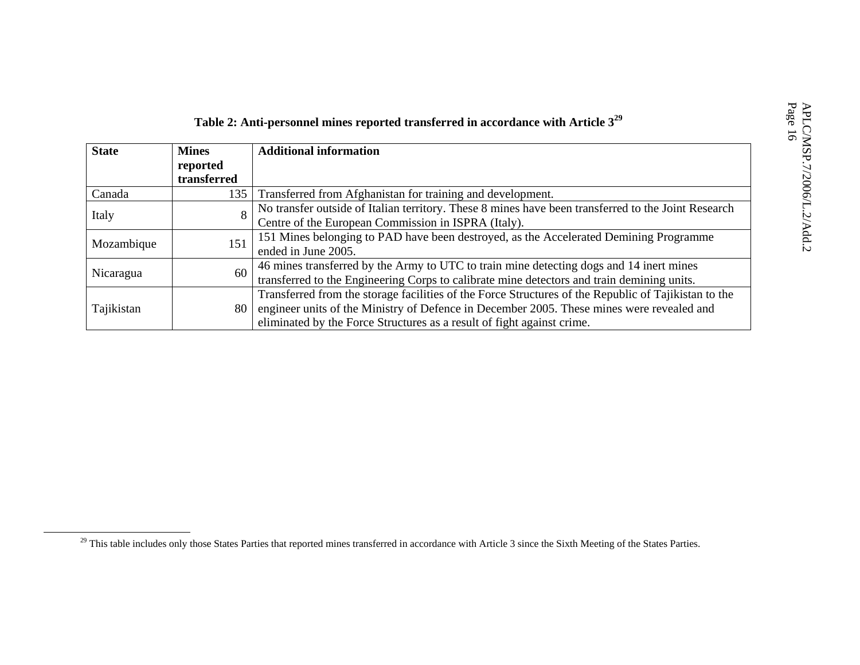| <b>State</b> | <b>Mines</b><br>reported<br>transferred | <b>Additional information</b>                                                                                                                                                                                                                                               |
|--------------|-----------------------------------------|-----------------------------------------------------------------------------------------------------------------------------------------------------------------------------------------------------------------------------------------------------------------------------|
| Canada       | 135                                     | Transferred from Afghanistan for training and development.                                                                                                                                                                                                                  |
| Italy        | 8                                       | No transfer outside of Italian territory. These 8 mines have been transferred to the Joint Research<br>Centre of the European Commission in ISPRA (Italy).                                                                                                                  |
| Mozambique   | 151                                     | 151 Mines belonging to PAD have been destroyed, as the Accelerated Demining Programme<br>ended in June 2005.                                                                                                                                                                |
| Nicaragua    | 60                                      | 46 mines transferred by the Army to UTC to train mine detecting dogs and 14 inert mines<br>transferred to the Engineering Corps to calibrate mine detectors and train demining units.                                                                                       |
| Tajikistan   | 80                                      | Transferred from the storage facilities of the Force Structures of the Republic of Tajikistan to the<br>engineer units of the Ministry of Defence in December 2005. These mines were revealed and<br>eliminated by the Force Structures as a result of fight against crime. |

<sup>&</sup>lt;sup>29</sup> This table includes only those States Parties that reported mines transferred in accordance with Article 3 since the Sixth Meeting of the States Parties.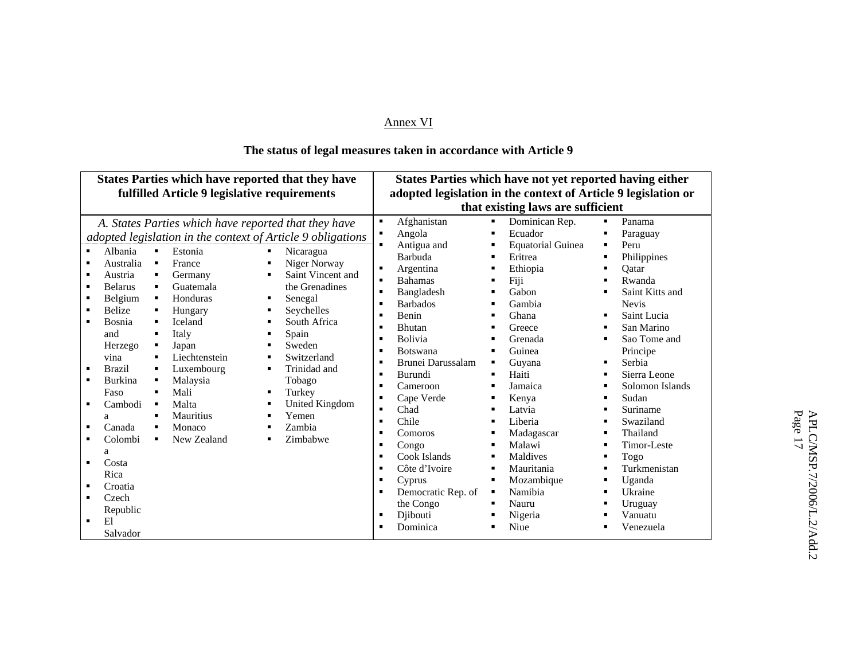#### Annex VI

# **The status of legal measures taken in accordance with Article 9**

| <b>States Parties which have reported that they have</b><br>fulfilled Article 9 legislative requirements                                                                                                                                                                                                                                                                                                                                                                                                                                                                                                                                                                                                                                                                                                                                                                                                                                                                                                                                                                             | States Parties which have not yet reported having either<br>adopted legislation in the context of Article 9 legislation or<br>that existing laws are sufficient                                                                                                                                                                                                                                                                                                                                                                                                                                                                                                                                                                                                                                                                                                                                                                                                                                                                                                                                                                                                                                                                                                                                                                                                                                                                                                                                                                                                                                                                                           |
|--------------------------------------------------------------------------------------------------------------------------------------------------------------------------------------------------------------------------------------------------------------------------------------------------------------------------------------------------------------------------------------------------------------------------------------------------------------------------------------------------------------------------------------------------------------------------------------------------------------------------------------------------------------------------------------------------------------------------------------------------------------------------------------------------------------------------------------------------------------------------------------------------------------------------------------------------------------------------------------------------------------------------------------------------------------------------------------|-----------------------------------------------------------------------------------------------------------------------------------------------------------------------------------------------------------------------------------------------------------------------------------------------------------------------------------------------------------------------------------------------------------------------------------------------------------------------------------------------------------------------------------------------------------------------------------------------------------------------------------------------------------------------------------------------------------------------------------------------------------------------------------------------------------------------------------------------------------------------------------------------------------------------------------------------------------------------------------------------------------------------------------------------------------------------------------------------------------------------------------------------------------------------------------------------------------------------------------------------------------------------------------------------------------------------------------------------------------------------------------------------------------------------------------------------------------------------------------------------------------------------------------------------------------------------------------------------------------------------------------------------------------|
| A. States Parties which have reported that they have<br>adopted legislation in the context of Article 9 obligations<br>Albania<br>Estonia<br>Nicaragua<br>$\blacksquare$<br>$\blacksquare$<br>٠<br>Niger Norway<br>Australia<br>France<br>٠<br>п<br>Saint Vincent and<br>Austria<br>Germany<br>п<br>٠<br>٠<br>the Grenadines<br><b>Belarus</b><br>Guatemala<br>$\blacksquare$<br>٠<br>Honduras<br>Belgium<br>Senegal<br>٠<br>п<br>п<br>Belize<br>Seychelles<br>Hungary<br>٠<br>٠<br>п<br>South Africa<br><b>Iceland</b><br>Bosnia<br>٠<br>п<br>and<br>Italy<br>Spain<br>٠<br>Sweden<br>Herzego<br>Japan<br>٠<br>п<br>Liechtenstein<br>Switzerland<br>vina<br><b>Brazil</b><br>Luxembourg<br>Trinidad and<br>$\blacksquare$<br>٠<br>п<br>Burkina<br>Malaysia<br>Tobago<br>٠<br>٠<br>Mali<br>Faso<br>Turkey<br>٠<br>Cambodi<br>Malta<br><b>United Kingdom</b><br>٠<br>٠<br>п<br>Mauritius<br>Yemen<br>٠<br>п<br>a<br>Canada<br>Zambia<br>Monaco<br>٠<br>Colombi<br>New Zealand<br>Zimbabwe<br>٠<br>٠<br>a<br>Costa<br>Rica<br>Croatia<br>Czech<br>٠<br>Republic<br>El<br>٠<br>Salvador | Dominican Rep.<br>Afghanistan<br>Panama<br>٠<br>٠<br>٠<br>Angola<br>Ecuador<br>$\blacksquare$<br>٠<br>Paraguay<br>Antigua and<br><b>Equatorial Guinea</b><br>Peru<br>٠<br>л<br>Barbuda<br>Philippines<br>Eritrea<br>$\blacksquare$<br>Argentina<br>Ethiopia<br>Oatar<br>$\blacksquare$<br>$\blacksquare$<br><b>Bahamas</b><br>Fiji<br>Rwanda<br>$\blacksquare$<br>Gabon<br>Saint Kitts and<br>Bangladesh<br>$\blacksquare$<br>٠<br><b>Barbados</b><br><b>Nevis</b><br>Gambia<br>$\blacksquare$<br>Ghana<br>Saint Lucia<br><b>Benin</b><br>$\blacksquare$<br>$\blacksquare$<br>٠<br>San Marino<br><b>Bhutan</b><br>Greece<br>$\blacksquare$<br>٠<br><b>Bolivia</b><br>Sao Tome and<br>Grenada<br>٠<br>Guinea<br><b>Botswana</b><br>Principe<br>$\blacksquare$<br>Brunei Darussalam<br>Serbia<br>Guyana<br>$\blacksquare$<br>٠<br>٠<br>Burundi<br>Sierra Leone<br>Haiti<br>$\blacksquare$<br>$\blacksquare$<br>Jamaica<br>Solomon Islands<br>Cameroon<br>$\blacksquare$<br>Sudan<br>Cape Verde<br>Kenya<br>٠<br>Chad<br>Suriname<br>Latvia<br>$\blacksquare$<br>Chile<br>Liberia<br>Swaziland<br>$\blacksquare$<br>٠<br>Madagascar<br>Thailand<br>Comoros<br>٠<br>٠<br>Malawi<br>Timor-Leste<br>Congo<br>$\blacksquare$<br>٠<br>Cook Islands<br>Maldives<br>Togo<br>$\blacksquare$<br>$\blacksquare$<br>Côte d'Ivoire<br>Mauritania<br>Turkmenistan<br>$\blacksquare$<br>в<br>Mozambique<br>Uganda<br>Cyprus<br>$\blacksquare$<br>$\blacksquare$<br>▪<br>Democratic Rep. of<br>Namibia<br>Ukraine<br>$\blacksquare$<br>the Congo<br>Nauru<br>Uruguay<br>Djibouti<br>Vanuatu<br>Nigeria<br>$\blacksquare$<br>Niue<br>Dominica<br>Venezuela<br>$\blacksquare$ |

 $\mathbf{Pa}$ APLC/MSP.7/2006/L.2/Add.2 ge 17